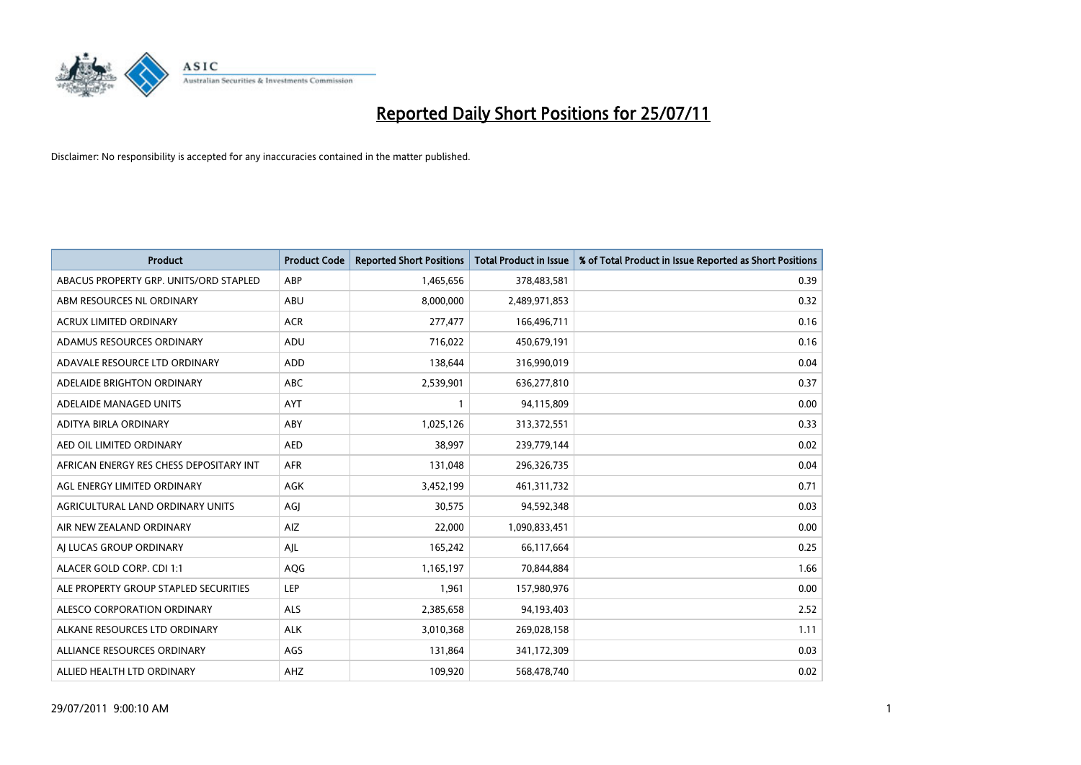

| <b>Product</b>                          | <b>Product Code</b> | <b>Reported Short Positions</b> | <b>Total Product in Issue</b> | % of Total Product in Issue Reported as Short Positions |
|-----------------------------------------|---------------------|---------------------------------|-------------------------------|---------------------------------------------------------|
| ABACUS PROPERTY GRP. UNITS/ORD STAPLED  | ABP                 | 1,465,656                       | 378,483,581                   | 0.39                                                    |
| ABM RESOURCES NL ORDINARY               | ABU                 | 8,000,000                       | 2,489,971,853                 | 0.32                                                    |
| <b>ACRUX LIMITED ORDINARY</b>           | <b>ACR</b>          | 277,477                         | 166,496,711                   | 0.16                                                    |
| ADAMUS RESOURCES ORDINARY               | ADU                 | 716,022                         | 450,679,191                   | 0.16                                                    |
| ADAVALE RESOURCE LTD ORDINARY           | <b>ADD</b>          | 138,644                         | 316,990,019                   | 0.04                                                    |
| ADELAIDE BRIGHTON ORDINARY              | <b>ABC</b>          | 2,539,901                       | 636,277,810                   | 0.37                                                    |
| ADELAIDE MANAGED UNITS                  | <b>AYT</b>          |                                 | 94,115,809                    | 0.00                                                    |
| ADITYA BIRLA ORDINARY                   | ABY                 | 1,025,126                       | 313,372,551                   | 0.33                                                    |
| AED OIL LIMITED ORDINARY                | <b>AED</b>          | 38,997                          | 239,779,144                   | 0.02                                                    |
| AFRICAN ENERGY RES CHESS DEPOSITARY INT | <b>AFR</b>          | 131,048                         | 296,326,735                   | 0.04                                                    |
| AGL ENERGY LIMITED ORDINARY             | <b>AGK</b>          | 3,452,199                       | 461,311,732                   | 0.71                                                    |
| AGRICULTURAL LAND ORDINARY UNITS        | AGI                 | 30,575                          | 94,592,348                    | 0.03                                                    |
| AIR NEW ZEALAND ORDINARY                | AIZ                 | 22,000                          | 1,090,833,451                 | 0.00                                                    |
| AI LUCAS GROUP ORDINARY                 | AJL                 | 165,242                         | 66,117,664                    | 0.25                                                    |
| ALACER GOLD CORP. CDI 1:1               | AQG                 | 1,165,197                       | 70,844,884                    | 1.66                                                    |
| ALE PROPERTY GROUP STAPLED SECURITIES   | <b>LEP</b>          | 1,961                           | 157,980,976                   | 0.00                                                    |
| ALESCO CORPORATION ORDINARY             | <b>ALS</b>          | 2,385,658                       | 94,193,403                    | 2.52                                                    |
| ALKANE RESOURCES LTD ORDINARY           | <b>ALK</b>          | 3,010,368                       | 269,028,158                   | 1.11                                                    |
| ALLIANCE RESOURCES ORDINARY             | AGS                 | 131,864                         | 341,172,309                   | 0.03                                                    |
| ALLIED HEALTH LTD ORDINARY              | <b>AHZ</b>          | 109,920                         | 568,478,740                   | 0.02                                                    |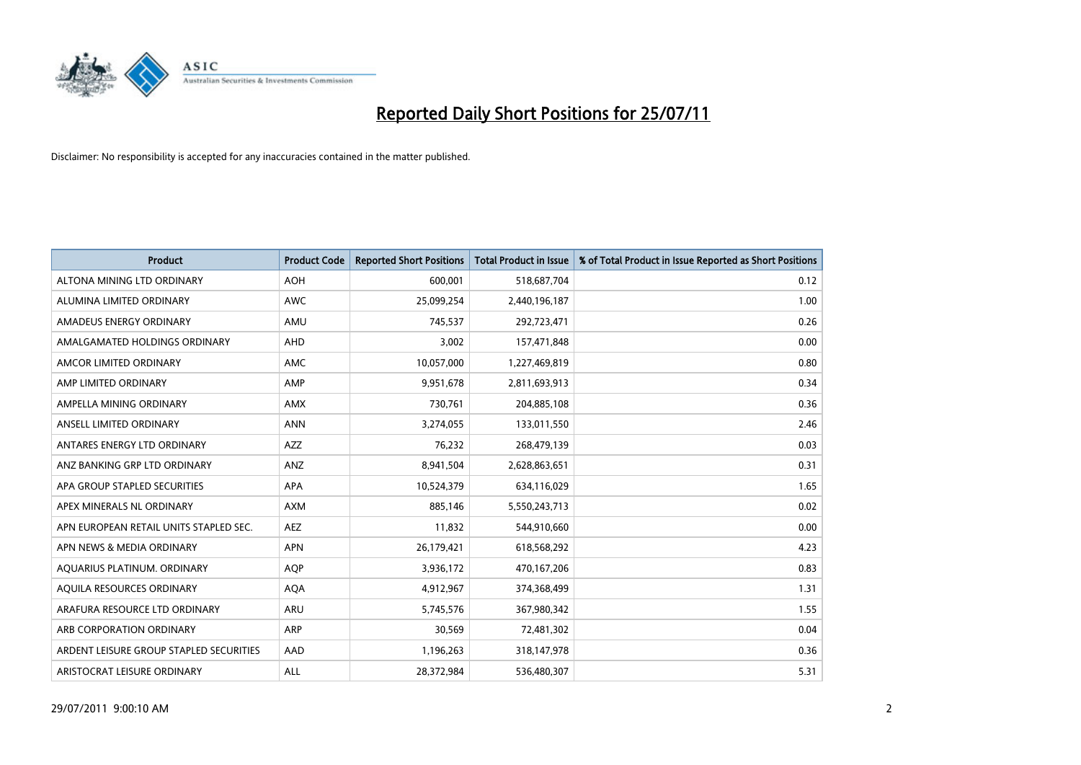

| <b>Product</b>                          | <b>Product Code</b> | <b>Reported Short Positions</b> | <b>Total Product in Issue</b> | % of Total Product in Issue Reported as Short Positions |
|-----------------------------------------|---------------------|---------------------------------|-------------------------------|---------------------------------------------------------|
| ALTONA MINING LTD ORDINARY              | <b>AOH</b>          | 600,001                         | 518,687,704                   | 0.12                                                    |
| ALUMINA LIMITED ORDINARY                | <b>AWC</b>          | 25,099,254                      | 2,440,196,187                 | 1.00                                                    |
| AMADEUS ENERGY ORDINARY                 | AMU                 | 745,537                         | 292,723,471                   | 0.26                                                    |
| AMALGAMATED HOLDINGS ORDINARY           | AHD                 | 3,002                           | 157,471,848                   | 0.00                                                    |
| AMCOR LIMITED ORDINARY                  | <b>AMC</b>          | 10,057,000                      | 1,227,469,819                 | 0.80                                                    |
| AMP LIMITED ORDINARY                    | AMP                 | 9,951,678                       | 2,811,693,913                 | 0.34                                                    |
| AMPELLA MINING ORDINARY                 | <b>AMX</b>          | 730.761                         | 204,885,108                   | 0.36                                                    |
| ANSELL LIMITED ORDINARY                 | <b>ANN</b>          | 3,274,055                       | 133,011,550                   | 2.46                                                    |
| ANTARES ENERGY LTD ORDINARY             | <b>AZZ</b>          | 76,232                          | 268,479,139                   | 0.03                                                    |
| ANZ BANKING GRP LTD ORDINARY            | ANZ                 | 8,941,504                       | 2,628,863,651                 | 0.31                                                    |
| APA GROUP STAPLED SECURITIES            | <b>APA</b>          | 10,524,379                      | 634,116,029                   | 1.65                                                    |
| APEX MINERALS NL ORDINARY               | <b>AXM</b>          | 885.146                         | 5,550,243,713                 | 0.02                                                    |
| APN EUROPEAN RETAIL UNITS STAPLED SEC.  | <b>AEZ</b>          | 11,832                          | 544,910,660                   | 0.00                                                    |
| APN NEWS & MEDIA ORDINARY               | <b>APN</b>          | 26,179,421                      | 618,568,292                   | 4.23                                                    |
| AQUARIUS PLATINUM. ORDINARY             | <b>AOP</b>          | 3,936,172                       | 470,167,206                   | 0.83                                                    |
| AQUILA RESOURCES ORDINARY               | <b>AQA</b>          | 4,912,967                       | 374,368,499                   | 1.31                                                    |
| ARAFURA RESOURCE LTD ORDINARY           | <b>ARU</b>          | 5,745,576                       | 367,980,342                   | 1.55                                                    |
| ARB CORPORATION ORDINARY                | ARP                 | 30,569                          | 72,481,302                    | 0.04                                                    |
| ARDENT LEISURE GROUP STAPLED SECURITIES | AAD                 | 1,196,263                       | 318,147,978                   | 0.36                                                    |
| ARISTOCRAT LEISURE ORDINARY             | <b>ALL</b>          | 28,372,984                      | 536,480,307                   | 5.31                                                    |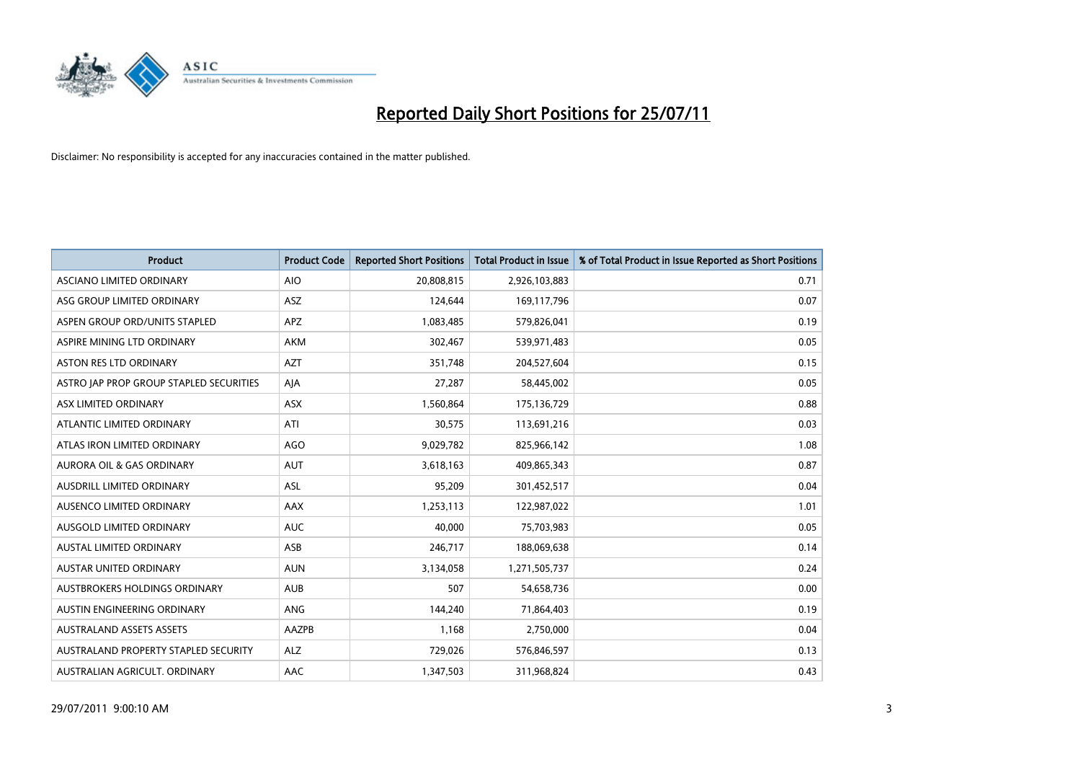

| <b>Product</b>                          | <b>Product Code</b> | <b>Reported Short Positions</b> | <b>Total Product in Issue</b> | % of Total Product in Issue Reported as Short Positions |
|-----------------------------------------|---------------------|---------------------------------|-------------------------------|---------------------------------------------------------|
| ASCIANO LIMITED ORDINARY                | <b>AIO</b>          | 20,808,815                      | 2,926,103,883                 | 0.71                                                    |
| ASG GROUP LIMITED ORDINARY              | ASZ                 | 124,644                         | 169,117,796                   | 0.07                                                    |
| ASPEN GROUP ORD/UNITS STAPLED           | <b>APZ</b>          | 1,083,485                       | 579,826,041                   | 0.19                                                    |
| ASPIRE MINING LTD ORDINARY              | <b>AKM</b>          | 302,467                         | 539,971,483                   | 0.05                                                    |
| <b>ASTON RES LTD ORDINARY</b>           | <b>AZT</b>          | 351,748                         | 204,527,604                   | 0.15                                                    |
| ASTRO JAP PROP GROUP STAPLED SECURITIES | AJA                 | 27,287                          | 58,445,002                    | 0.05                                                    |
| ASX LIMITED ORDINARY                    | <b>ASX</b>          | 1,560,864                       | 175,136,729                   | 0.88                                                    |
| ATLANTIC LIMITED ORDINARY               | ATI                 | 30,575                          | 113,691,216                   | 0.03                                                    |
| ATLAS IRON LIMITED ORDINARY             | <b>AGO</b>          | 9,029,782                       | 825,966,142                   | 1.08                                                    |
| <b>AURORA OIL &amp; GAS ORDINARY</b>    | <b>AUT</b>          | 3,618,163                       | 409,865,343                   | 0.87                                                    |
| AUSDRILL LIMITED ORDINARY               | <b>ASL</b>          | 95,209                          | 301,452,517                   | 0.04                                                    |
| AUSENCO LIMITED ORDINARY                | <b>AAX</b>          | 1,253,113                       | 122,987,022                   | 1.01                                                    |
| AUSGOLD LIMITED ORDINARY                | <b>AUC</b>          | 40,000                          | 75,703,983                    | 0.05                                                    |
| <b>AUSTAL LIMITED ORDINARY</b>          | ASB                 | 246,717                         | 188,069,638                   | 0.14                                                    |
| <b>AUSTAR UNITED ORDINARY</b>           | <b>AUN</b>          | 3,134,058                       | 1,271,505,737                 | 0.24                                                    |
| AUSTBROKERS HOLDINGS ORDINARY           | <b>AUB</b>          | 507                             | 54,658,736                    | 0.00                                                    |
| AUSTIN ENGINEERING ORDINARY             | ANG                 | 144,240                         | 71,864,403                    | 0.19                                                    |
| <b>AUSTRALAND ASSETS ASSETS</b>         | AAZPB               | 1,168                           | 2,750,000                     | 0.04                                                    |
| AUSTRALAND PROPERTY STAPLED SECURITY    | <b>ALZ</b>          | 729,026                         | 576,846,597                   | 0.13                                                    |
| AUSTRALIAN AGRICULT. ORDINARY           | AAC                 | 1,347,503                       | 311,968,824                   | 0.43                                                    |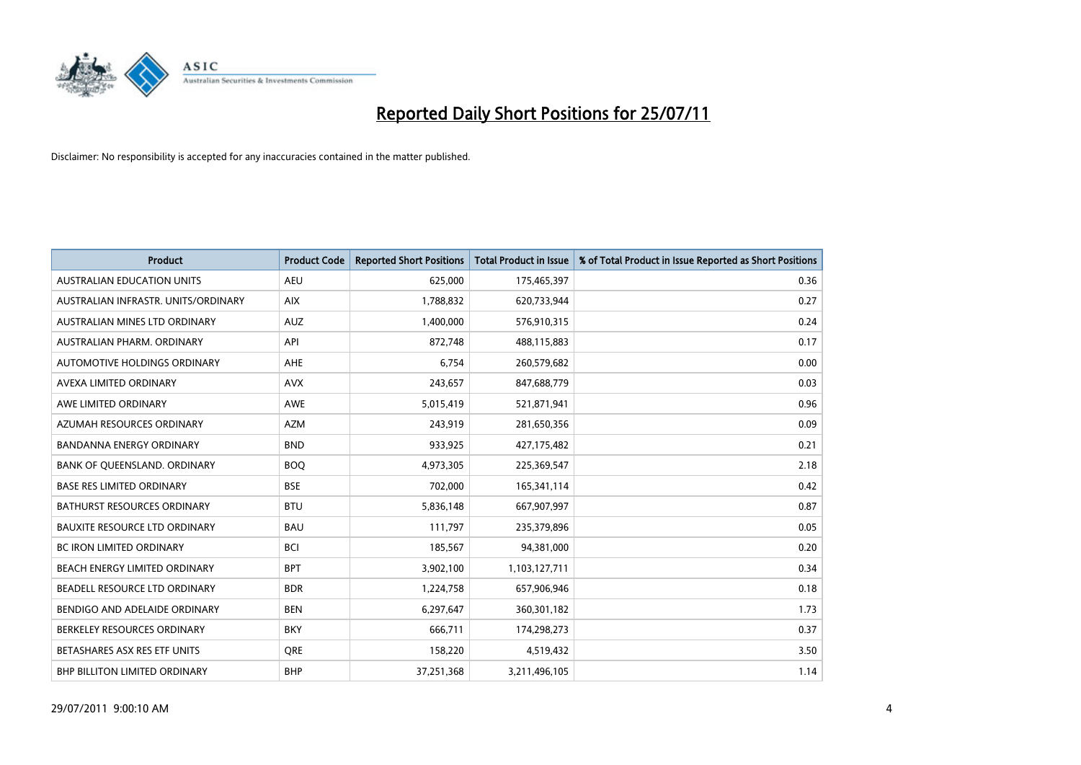

| <b>Product</b>                       | <b>Product Code</b> | <b>Reported Short Positions</b> | <b>Total Product in Issue</b> | % of Total Product in Issue Reported as Short Positions |
|--------------------------------------|---------------------|---------------------------------|-------------------------------|---------------------------------------------------------|
| <b>AUSTRALIAN EDUCATION UNITS</b>    | <b>AEU</b>          | 625,000                         | 175,465,397                   | 0.36                                                    |
| AUSTRALIAN INFRASTR. UNITS/ORDINARY  | <b>AIX</b>          | 1,788,832                       | 620,733,944                   | 0.27                                                    |
| AUSTRALIAN MINES LTD ORDINARY        | <b>AUZ</b>          | 1,400,000                       | 576,910,315                   | 0.24                                                    |
| AUSTRALIAN PHARM. ORDINARY           | API                 | 872,748                         | 488,115,883                   | 0.17                                                    |
| AUTOMOTIVE HOLDINGS ORDINARY         | <b>AHE</b>          | 6,754                           | 260,579,682                   | 0.00                                                    |
| AVEXA LIMITED ORDINARY               | <b>AVX</b>          | 243,657                         | 847,688,779                   | 0.03                                                    |
| AWE LIMITED ORDINARY                 | AWE                 | 5,015,419                       | 521,871,941                   | 0.96                                                    |
| AZUMAH RESOURCES ORDINARY            | <b>AZM</b>          | 243,919                         | 281,650,356                   | 0.09                                                    |
| BANDANNA ENERGY ORDINARY             | <b>BND</b>          | 933,925                         | 427,175,482                   | 0.21                                                    |
| BANK OF QUEENSLAND. ORDINARY         | <b>BOO</b>          | 4,973,305                       | 225,369,547                   | 2.18                                                    |
| <b>BASE RES LIMITED ORDINARY</b>     | <b>BSE</b>          | 702,000                         | 165,341,114                   | 0.42                                                    |
| <b>BATHURST RESOURCES ORDINARY</b>   | <b>BTU</b>          | 5,836,148                       | 667,907,997                   | 0.87                                                    |
| <b>BAUXITE RESOURCE LTD ORDINARY</b> | <b>BAU</b>          | 111,797                         | 235,379,896                   | 0.05                                                    |
| <b>BC IRON LIMITED ORDINARY</b>      | <b>BCI</b>          | 185,567                         | 94,381,000                    | 0.20                                                    |
| BEACH ENERGY LIMITED ORDINARY        | <b>BPT</b>          | 3,902,100                       | 1,103,127,711                 | 0.34                                                    |
| BEADELL RESOURCE LTD ORDINARY        | <b>BDR</b>          | 1,224,758                       | 657,906,946                   | 0.18                                                    |
| BENDIGO AND ADELAIDE ORDINARY        | <b>BEN</b>          | 6,297,647                       | 360,301,182                   | 1.73                                                    |
| BERKELEY RESOURCES ORDINARY          | <b>BKY</b>          | 666,711                         | 174,298,273                   | 0.37                                                    |
| BETASHARES ASX RES ETF UNITS         | <b>ORE</b>          | 158,220                         | 4,519,432                     | 3.50                                                    |
| <b>BHP BILLITON LIMITED ORDINARY</b> | <b>BHP</b>          | 37,251,368                      | 3,211,496,105                 | 1.14                                                    |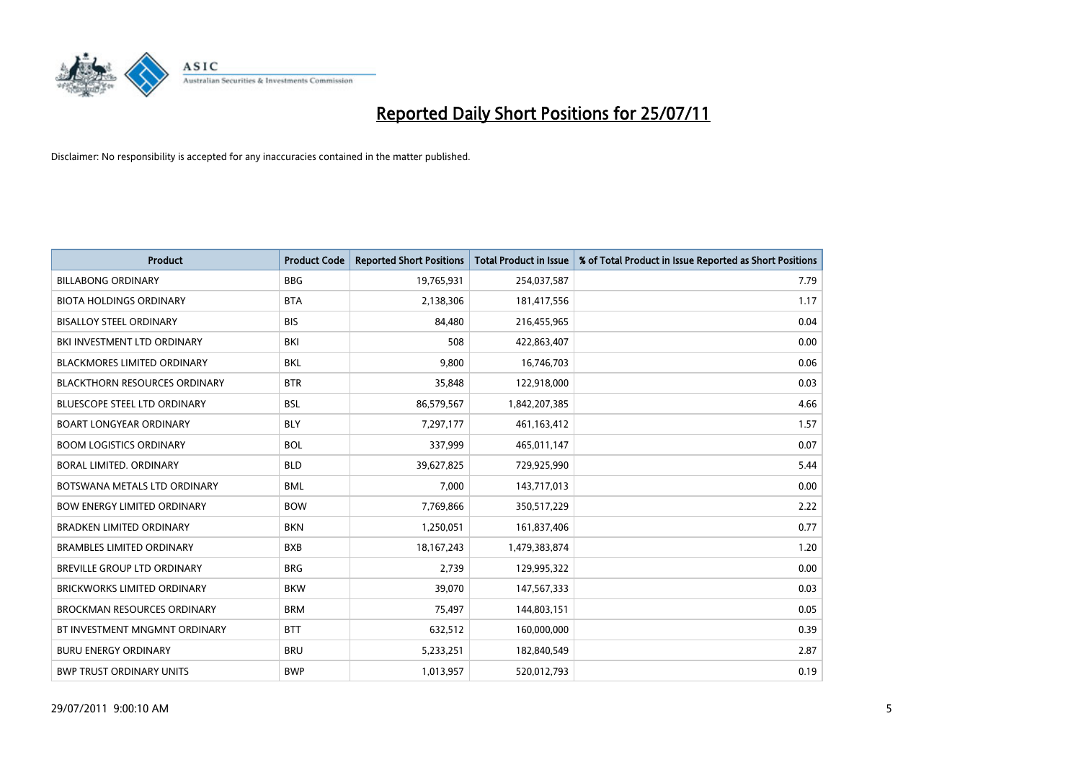

| <b>Product</b>                       | <b>Product Code</b> | <b>Reported Short Positions</b> | <b>Total Product in Issue</b> | % of Total Product in Issue Reported as Short Positions |
|--------------------------------------|---------------------|---------------------------------|-------------------------------|---------------------------------------------------------|
| <b>BILLABONG ORDINARY</b>            | <b>BBG</b>          | 19,765,931                      | 254,037,587                   | 7.79                                                    |
| <b>BIOTA HOLDINGS ORDINARY</b>       | <b>BTA</b>          | 2,138,306                       | 181,417,556                   | 1.17                                                    |
| <b>BISALLOY STEEL ORDINARY</b>       | <b>BIS</b>          | 84.480                          | 216,455,965                   | 0.04                                                    |
| BKI INVESTMENT LTD ORDINARY          | BKI                 | 508                             | 422,863,407                   | 0.00                                                    |
| <b>BLACKMORES LIMITED ORDINARY</b>   | <b>BKL</b>          | 9,800                           | 16,746,703                    | 0.06                                                    |
| <b>BLACKTHORN RESOURCES ORDINARY</b> | <b>BTR</b>          | 35,848                          | 122,918,000                   | 0.03                                                    |
| <b>BLUESCOPE STEEL LTD ORDINARY</b>  | <b>BSL</b>          | 86,579,567                      | 1,842,207,385                 | 4.66                                                    |
| <b>BOART LONGYEAR ORDINARY</b>       | <b>BLY</b>          | 7,297,177                       | 461,163,412                   | 1.57                                                    |
| <b>BOOM LOGISTICS ORDINARY</b>       | <b>BOL</b>          | 337,999                         | 465,011,147                   | 0.07                                                    |
| BORAL LIMITED, ORDINARY              | <b>BLD</b>          | 39,627,825                      | 729,925,990                   | 5.44                                                    |
| BOTSWANA METALS LTD ORDINARY         | <b>BML</b>          | 7,000                           | 143,717,013                   | 0.00                                                    |
| <b>BOW ENERGY LIMITED ORDINARY</b>   | <b>BOW</b>          | 7,769,866                       | 350,517,229                   | 2.22                                                    |
| <b>BRADKEN LIMITED ORDINARY</b>      | <b>BKN</b>          | 1,250,051                       | 161,837,406                   | 0.77                                                    |
| <b>BRAMBLES LIMITED ORDINARY</b>     | <b>BXB</b>          | 18, 167, 243                    | 1,479,383,874                 | 1.20                                                    |
| <b>BREVILLE GROUP LTD ORDINARY</b>   | <b>BRG</b>          | 2,739                           | 129,995,322                   | 0.00                                                    |
| <b>BRICKWORKS LIMITED ORDINARY</b>   | <b>BKW</b>          | 39,070                          | 147,567,333                   | 0.03                                                    |
| <b>BROCKMAN RESOURCES ORDINARY</b>   | <b>BRM</b>          | 75,497                          | 144,803,151                   | 0.05                                                    |
| BT INVESTMENT MNGMNT ORDINARY        | <b>BTT</b>          | 632,512                         | 160,000,000                   | 0.39                                                    |
| <b>BURU ENERGY ORDINARY</b>          | <b>BRU</b>          | 5,233,251                       | 182,840,549                   | 2.87                                                    |
| <b>BWP TRUST ORDINARY UNITS</b>      | <b>BWP</b>          | 1,013,957                       | 520,012,793                   | 0.19                                                    |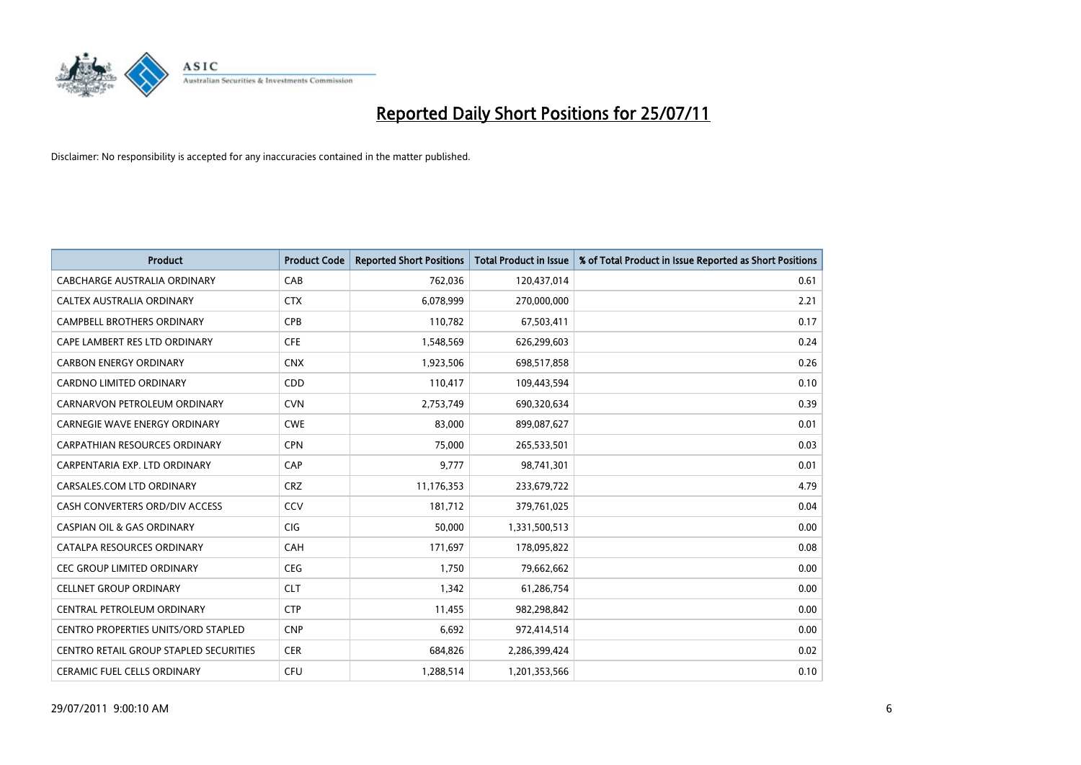

| <b>Product</b>                                | <b>Product Code</b> | <b>Reported Short Positions</b> | <b>Total Product in Issue</b> | % of Total Product in Issue Reported as Short Positions |
|-----------------------------------------------|---------------------|---------------------------------|-------------------------------|---------------------------------------------------------|
| <b>CABCHARGE AUSTRALIA ORDINARY</b>           | CAB                 | 762,036                         | 120,437,014                   | 0.61                                                    |
| CALTEX AUSTRALIA ORDINARY                     | <b>CTX</b>          | 6,078,999                       | 270,000,000                   | 2.21                                                    |
| <b>CAMPBELL BROTHERS ORDINARY</b>             | <b>CPB</b>          | 110,782                         | 67,503,411                    | 0.17                                                    |
| CAPE LAMBERT RES LTD ORDINARY                 | <b>CFE</b>          | 1,548,569                       | 626,299,603                   | 0.24                                                    |
| <b>CARBON ENERGY ORDINARY</b>                 | <b>CNX</b>          | 1,923,506                       | 698,517,858                   | 0.26                                                    |
| <b>CARDNO LIMITED ORDINARY</b>                | CDD                 | 110,417                         | 109,443,594                   | 0.10                                                    |
| CARNARVON PETROLEUM ORDINARY                  | <b>CVN</b>          | 2,753,749                       | 690,320,634                   | 0.39                                                    |
| <b>CARNEGIE WAVE ENERGY ORDINARY</b>          | <b>CWE</b>          | 83,000                          | 899,087,627                   | 0.01                                                    |
| CARPATHIAN RESOURCES ORDINARY                 | <b>CPN</b>          | 75,000                          | 265,533,501                   | 0.03                                                    |
| CARPENTARIA EXP. LTD ORDINARY                 | CAP                 | 9.777                           | 98,741,301                    | 0.01                                                    |
| CARSALES.COM LTD ORDINARY                     | <b>CRZ</b>          | 11,176,353                      | 233,679,722                   | 4.79                                                    |
| CASH CONVERTERS ORD/DIV ACCESS                | CCV                 | 181,712                         | 379,761,025                   | 0.04                                                    |
| <b>CASPIAN OIL &amp; GAS ORDINARY</b>         | <b>CIG</b>          | 50.000                          | 1,331,500,513                 | 0.00                                                    |
| CATALPA RESOURCES ORDINARY                    | CAH                 | 171.697                         | 178,095,822                   | 0.08                                                    |
| <b>CEC GROUP LIMITED ORDINARY</b>             | <b>CEG</b>          | 1,750                           | 79,662,662                    | 0.00                                                    |
| <b>CELLNET GROUP ORDINARY</b>                 | <b>CLT</b>          | 1,342                           | 61,286,754                    | 0.00                                                    |
| CENTRAL PETROLEUM ORDINARY                    | <b>CTP</b>          | 11,455                          | 982,298,842                   | 0.00                                                    |
| <b>CENTRO PROPERTIES UNITS/ORD STAPLED</b>    | <b>CNP</b>          | 6,692                           | 972,414,514                   | 0.00                                                    |
| <b>CENTRO RETAIL GROUP STAPLED SECURITIES</b> | <b>CER</b>          | 684,826                         | 2,286,399,424                 | 0.02                                                    |
| <b>CERAMIC FUEL CELLS ORDINARY</b>            | CFU                 | 1,288,514                       | 1,201,353,566                 | 0.10                                                    |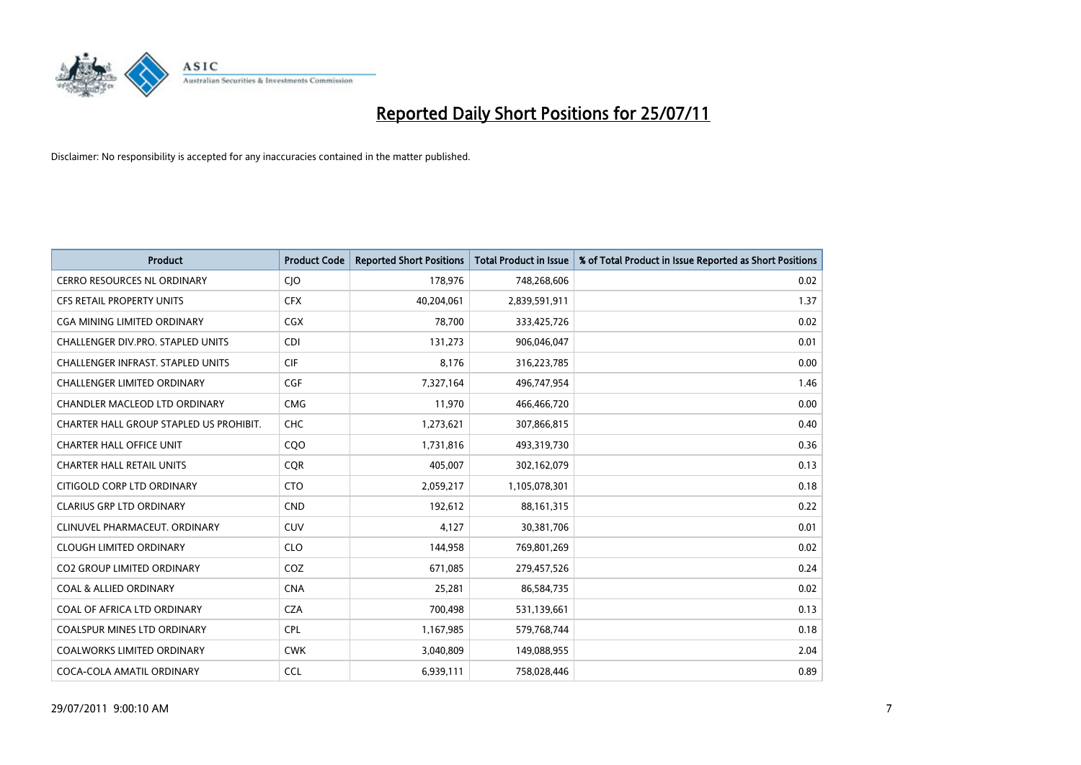

| <b>Product</b>                           | <b>Product Code</b> | <b>Reported Short Positions</b> | <b>Total Product in Issue</b> | % of Total Product in Issue Reported as Short Positions |
|------------------------------------------|---------------------|---------------------------------|-------------------------------|---------------------------------------------------------|
| <b>CERRO RESOURCES NL ORDINARY</b>       | CJO                 | 178,976                         | 748,268,606                   | 0.02                                                    |
| CFS RETAIL PROPERTY UNITS                | <b>CFX</b>          | 40,204,061                      | 2,839,591,911                 | 1.37                                                    |
| CGA MINING LIMITED ORDINARY              | <b>CGX</b>          | 78.700                          | 333,425,726                   | 0.02                                                    |
| CHALLENGER DIV.PRO. STAPLED UNITS        | <b>CDI</b>          | 131,273                         | 906,046,047                   | 0.01                                                    |
| <b>CHALLENGER INFRAST, STAPLED UNITS</b> | <b>CIF</b>          | 8,176                           | 316,223,785                   | 0.00                                                    |
| <b>CHALLENGER LIMITED ORDINARY</b>       | CGF                 | 7,327,164                       | 496,747,954                   | 1.46                                                    |
| CHANDLER MACLEOD LTD ORDINARY            | <b>CMG</b>          | 11,970                          | 466,466,720                   | 0.00                                                    |
| CHARTER HALL GROUP STAPLED US PROHIBIT.  | <b>CHC</b>          | 1,273,621                       | 307,866,815                   | 0.40                                                    |
| <b>CHARTER HALL OFFICE UNIT</b>          | CQ <sub>O</sub>     | 1,731,816                       | 493,319,730                   | 0.36                                                    |
| <b>CHARTER HALL RETAIL UNITS</b>         | <b>CQR</b>          | 405,007                         | 302,162,079                   | 0.13                                                    |
| CITIGOLD CORP LTD ORDINARY               | <b>CTO</b>          | 2,059,217                       | 1,105,078,301                 | 0.18                                                    |
| <b>CLARIUS GRP LTD ORDINARY</b>          | <b>CND</b>          | 192,612                         | 88,161,315                    | 0.22                                                    |
| CLINUVEL PHARMACEUT, ORDINARY            | <b>CUV</b>          | 4,127                           | 30,381,706                    | 0.01                                                    |
| <b>CLOUGH LIMITED ORDINARY</b>           | <b>CLO</b>          | 144,958                         | 769,801,269                   | 0.02                                                    |
| <b>CO2 GROUP LIMITED ORDINARY</b>        | COZ                 | 671,085                         | 279,457,526                   | 0.24                                                    |
| <b>COAL &amp; ALLIED ORDINARY</b>        | <b>CNA</b>          | 25,281                          | 86,584,735                    | 0.02                                                    |
| COAL OF AFRICA LTD ORDINARY              | <b>CZA</b>          | 700,498                         | 531,139,661                   | 0.13                                                    |
| COALSPUR MINES LTD ORDINARY              | <b>CPL</b>          | 1,167,985                       | 579,768,744                   | 0.18                                                    |
| <b>COALWORKS LIMITED ORDINARY</b>        | <b>CWK</b>          | 3,040,809                       | 149,088,955                   | 2.04                                                    |
| COCA-COLA AMATIL ORDINARY                | <b>CCL</b>          | 6,939,111                       | 758,028,446                   | 0.89                                                    |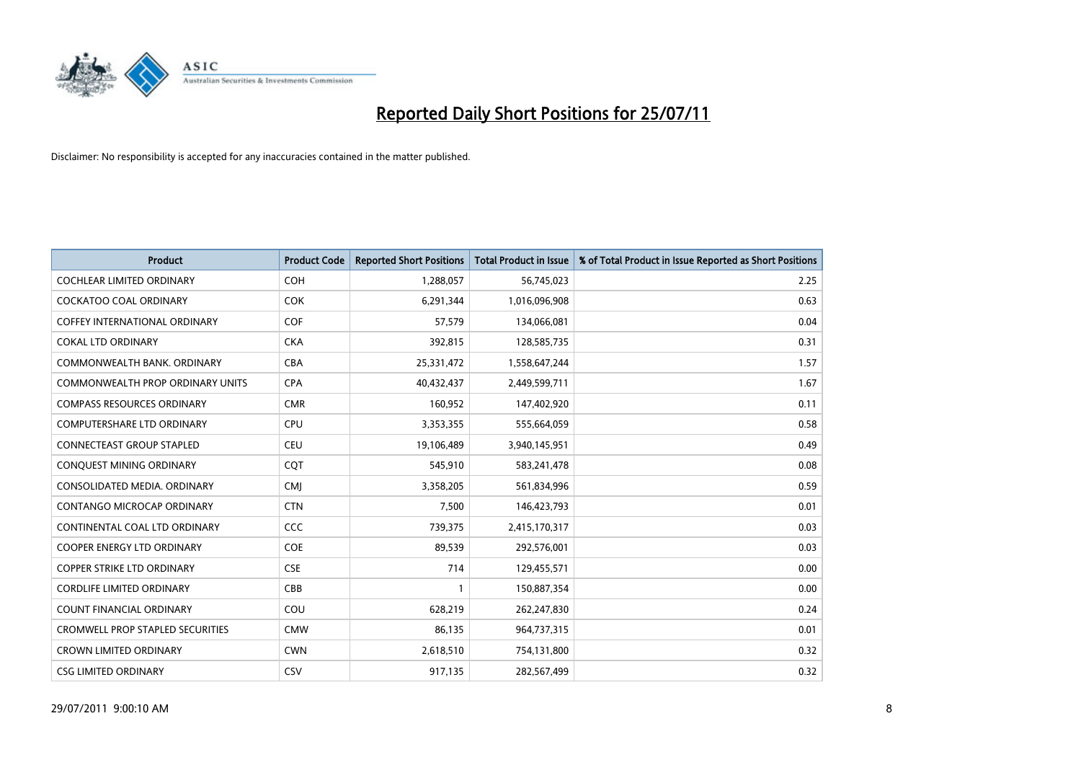

| <b>Product</b>                          | <b>Product Code</b> | <b>Reported Short Positions</b> | <b>Total Product in Issue</b> | % of Total Product in Issue Reported as Short Positions |
|-----------------------------------------|---------------------|---------------------------------|-------------------------------|---------------------------------------------------------|
| <b>COCHLEAR LIMITED ORDINARY</b>        | <b>COH</b>          | 1,288,057                       | 56,745,023                    | 2.25                                                    |
| <b>COCKATOO COAL ORDINARY</b>           | <b>COK</b>          | 6,291,344                       | 1,016,096,908                 | 0.63                                                    |
| <b>COFFEY INTERNATIONAL ORDINARY</b>    | <b>COF</b>          | 57,579                          | 134,066,081                   | 0.04                                                    |
| <b>COKAL LTD ORDINARY</b>               | <b>CKA</b>          | 392,815                         | 128,585,735                   | 0.31                                                    |
| COMMONWEALTH BANK, ORDINARY             | <b>CBA</b>          | 25,331,472                      | 1,558,647,244                 | 1.57                                                    |
| COMMONWEALTH PROP ORDINARY UNITS        | <b>CPA</b>          | 40,432,437                      | 2,449,599,711                 | 1.67                                                    |
| <b>COMPASS RESOURCES ORDINARY</b>       | <b>CMR</b>          | 160,952                         | 147,402,920                   | 0.11                                                    |
| <b>COMPUTERSHARE LTD ORDINARY</b>       | <b>CPU</b>          | 3,353,355                       | 555,664,059                   | 0.58                                                    |
| <b>CONNECTEAST GROUP STAPLED</b>        | <b>CEU</b>          | 19,106,489                      | 3,940,145,951                 | 0.49                                                    |
| <b>CONOUEST MINING ORDINARY</b>         | <b>COT</b>          | 545,910                         | 583,241,478                   | 0.08                                                    |
| CONSOLIDATED MEDIA, ORDINARY            | <b>CMI</b>          | 3,358,205                       | 561,834,996                   | 0.59                                                    |
| CONTANGO MICROCAP ORDINARY              | <b>CTN</b>          | 7,500                           | 146,423,793                   | 0.01                                                    |
| CONTINENTAL COAL LTD ORDINARY           | CCC                 | 739,375                         | 2,415,170,317                 | 0.03                                                    |
| <b>COOPER ENERGY LTD ORDINARY</b>       | <b>COE</b>          | 89,539                          | 292,576,001                   | 0.03                                                    |
| <b>COPPER STRIKE LTD ORDINARY</b>       | <b>CSE</b>          | 714                             | 129,455,571                   | 0.00                                                    |
| <b>CORDLIFE LIMITED ORDINARY</b>        | CBB                 |                                 | 150,887,354                   | 0.00                                                    |
| <b>COUNT FINANCIAL ORDINARY</b>         | COU                 | 628,219                         | 262,247,830                   | 0.24                                                    |
| <b>CROMWELL PROP STAPLED SECURITIES</b> | <b>CMW</b>          | 86,135                          | 964,737,315                   | 0.01                                                    |
| <b>CROWN LIMITED ORDINARY</b>           | <b>CWN</b>          | 2,618,510                       | 754,131,800                   | 0.32                                                    |
| <b>CSG LIMITED ORDINARY</b>             | CSV                 | 917,135                         | 282,567,499                   | 0.32                                                    |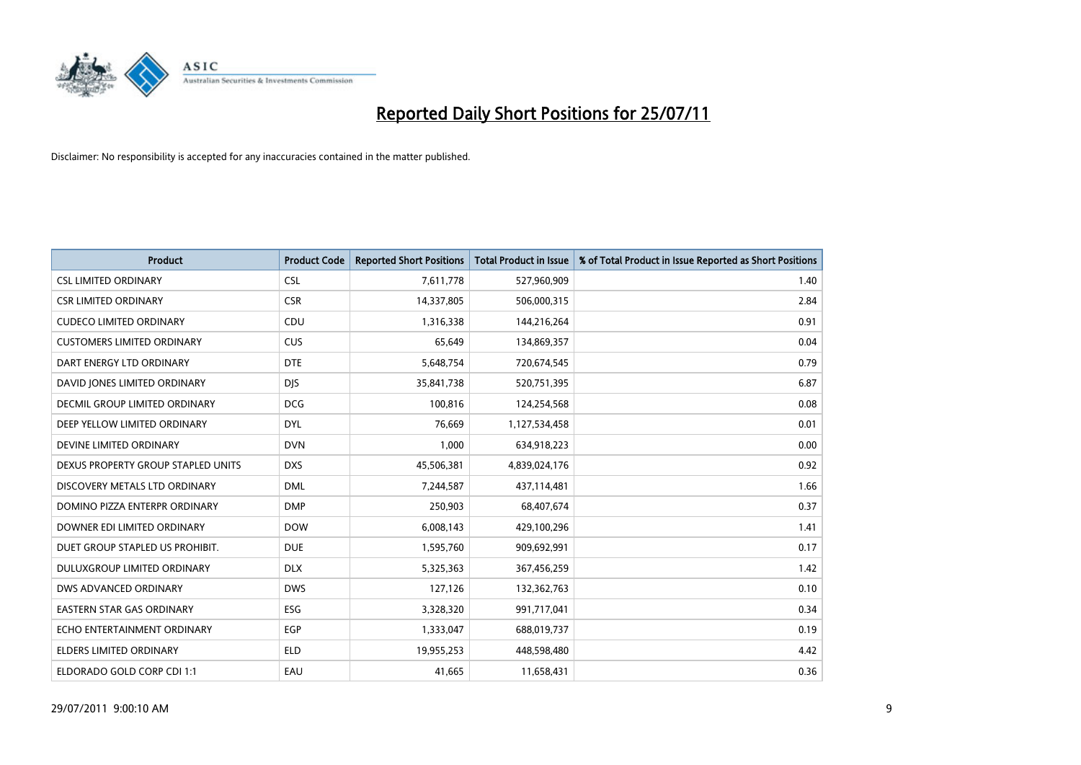

| <b>Product</b>                       | <b>Product Code</b> | <b>Reported Short Positions</b> | <b>Total Product in Issue</b> | % of Total Product in Issue Reported as Short Positions |
|--------------------------------------|---------------------|---------------------------------|-------------------------------|---------------------------------------------------------|
| <b>CSL LIMITED ORDINARY</b>          | <b>CSL</b>          | 7,611,778                       | 527,960,909                   | 1.40                                                    |
| <b>CSR LIMITED ORDINARY</b>          | <b>CSR</b>          | 14,337,805                      | 506,000,315                   | 2.84                                                    |
| <b>CUDECO LIMITED ORDINARY</b>       | <b>CDU</b>          | 1,316,338                       | 144,216,264                   | 0.91                                                    |
| <b>CUSTOMERS LIMITED ORDINARY</b>    | <b>CUS</b>          | 65,649                          | 134,869,357                   | 0.04                                                    |
| DART ENERGY LTD ORDINARY             | <b>DTE</b>          | 5,648,754                       | 720,674,545                   | 0.79                                                    |
| DAVID JONES LIMITED ORDINARY         | <b>DJS</b>          | 35,841,738                      | 520,751,395                   | 6.87                                                    |
| <b>DECMIL GROUP LIMITED ORDINARY</b> | <b>DCG</b>          | 100,816                         | 124,254,568                   | 0.08                                                    |
| DEEP YELLOW LIMITED ORDINARY         | <b>DYL</b>          | 76,669                          | 1,127,534,458                 | 0.01                                                    |
| DEVINE LIMITED ORDINARY              | <b>DVN</b>          | 1,000                           | 634,918,223                   | 0.00                                                    |
| DEXUS PROPERTY GROUP STAPLED UNITS   | <b>DXS</b>          | 45,506,381                      | 4,839,024,176                 | 0.92                                                    |
| DISCOVERY METALS LTD ORDINARY        | <b>DML</b>          | 7,244,587                       | 437,114,481                   | 1.66                                                    |
| DOMINO PIZZA ENTERPR ORDINARY        | <b>DMP</b>          | 250,903                         | 68,407,674                    | 0.37                                                    |
| DOWNER EDI LIMITED ORDINARY          | <b>DOW</b>          | 6,008,143                       | 429,100,296                   | 1.41                                                    |
| DUET GROUP STAPLED US PROHIBIT.      | <b>DUE</b>          | 1,595,760                       | 909,692,991                   | 0.17                                                    |
| DULUXGROUP LIMITED ORDINARY          | <b>DLX</b>          | 5,325,363                       | 367,456,259                   | 1.42                                                    |
| DWS ADVANCED ORDINARY                | <b>DWS</b>          | 127,126                         | 132,362,763                   | 0.10                                                    |
| <b>EASTERN STAR GAS ORDINARY</b>     | ESG                 | 3,328,320                       | 991,717,041                   | 0.34                                                    |
| ECHO ENTERTAINMENT ORDINARY          | <b>EGP</b>          | 1,333,047                       | 688,019,737                   | 0.19                                                    |
| <b>ELDERS LIMITED ORDINARY</b>       | <b>ELD</b>          | 19,955,253                      | 448,598,480                   | 4.42                                                    |
| ELDORADO GOLD CORP CDI 1:1           | EAU                 | 41,665                          | 11,658,431                    | 0.36                                                    |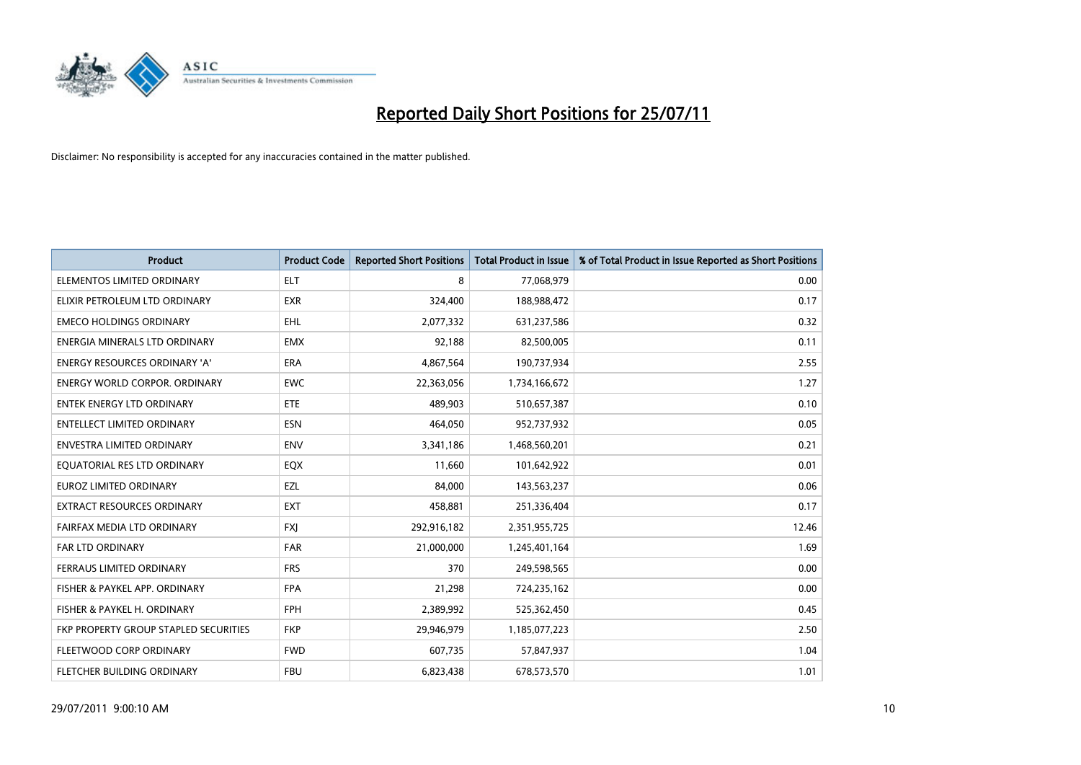

| <b>Product</b>                        | <b>Product Code</b> | <b>Reported Short Positions</b> | <b>Total Product in Issue</b> | % of Total Product in Issue Reported as Short Positions |
|---------------------------------------|---------------------|---------------------------------|-------------------------------|---------------------------------------------------------|
| ELEMENTOS LIMITED ORDINARY            | <b>ELT</b>          | 8                               | 77,068,979                    | 0.00                                                    |
| ELIXIR PETROLEUM LTD ORDINARY         | <b>EXR</b>          | 324,400                         | 188,988,472                   | 0.17                                                    |
| <b>EMECO HOLDINGS ORDINARY</b>        | <b>EHL</b>          | 2,077,332                       | 631,237,586                   | 0.32                                                    |
| ENERGIA MINERALS LTD ORDINARY         | <b>EMX</b>          | 92,188                          | 82,500,005                    | 0.11                                                    |
| <b>ENERGY RESOURCES ORDINARY 'A'</b>  | ERA                 | 4,867,564                       | 190,737,934                   | 2.55                                                    |
| <b>ENERGY WORLD CORPOR, ORDINARY</b>  | <b>EWC</b>          | 22,363,056                      | 1,734,166,672                 | 1.27                                                    |
| <b>ENTEK ENERGY LTD ORDINARY</b>      | ETE                 | 489.903                         | 510,657,387                   | 0.10                                                    |
| ENTELLECT LIMITED ORDINARY            | <b>ESN</b>          | 464,050                         | 952,737,932                   | 0.05                                                    |
| <b>ENVESTRA LIMITED ORDINARY</b>      | <b>ENV</b>          | 3,341,186                       | 1,468,560,201                 | 0.21                                                    |
| EQUATORIAL RES LTD ORDINARY           | EQX                 | 11,660                          | 101,642,922                   | 0.01                                                    |
| EUROZ LIMITED ORDINARY                | EZL                 | 84,000                          | 143,563,237                   | 0.06                                                    |
| <b>EXTRACT RESOURCES ORDINARY</b>     | EXT                 | 458,881                         | 251,336,404                   | 0.17                                                    |
| FAIRFAX MEDIA LTD ORDINARY            | <b>FXI</b>          | 292,916,182                     | 2,351,955,725                 | 12.46                                                   |
| FAR LTD ORDINARY                      | <b>FAR</b>          | 21,000,000                      | 1,245,401,164                 | 1.69                                                    |
| FERRAUS LIMITED ORDINARY              | <b>FRS</b>          | 370                             | 249,598,565                   | 0.00                                                    |
| FISHER & PAYKEL APP. ORDINARY         | <b>FPA</b>          | 21,298                          | 724,235,162                   | 0.00                                                    |
| FISHER & PAYKEL H. ORDINARY           | <b>FPH</b>          | 2,389,992                       | 525,362,450                   | 0.45                                                    |
| FKP PROPERTY GROUP STAPLED SECURITIES | <b>FKP</b>          | 29,946,979                      | 1,185,077,223                 | 2.50                                                    |
| FLEETWOOD CORP ORDINARY               | <b>FWD</b>          | 607,735                         | 57,847,937                    | 1.04                                                    |
| FLETCHER BUILDING ORDINARY            | <b>FBU</b>          | 6,823,438                       | 678,573,570                   | 1.01                                                    |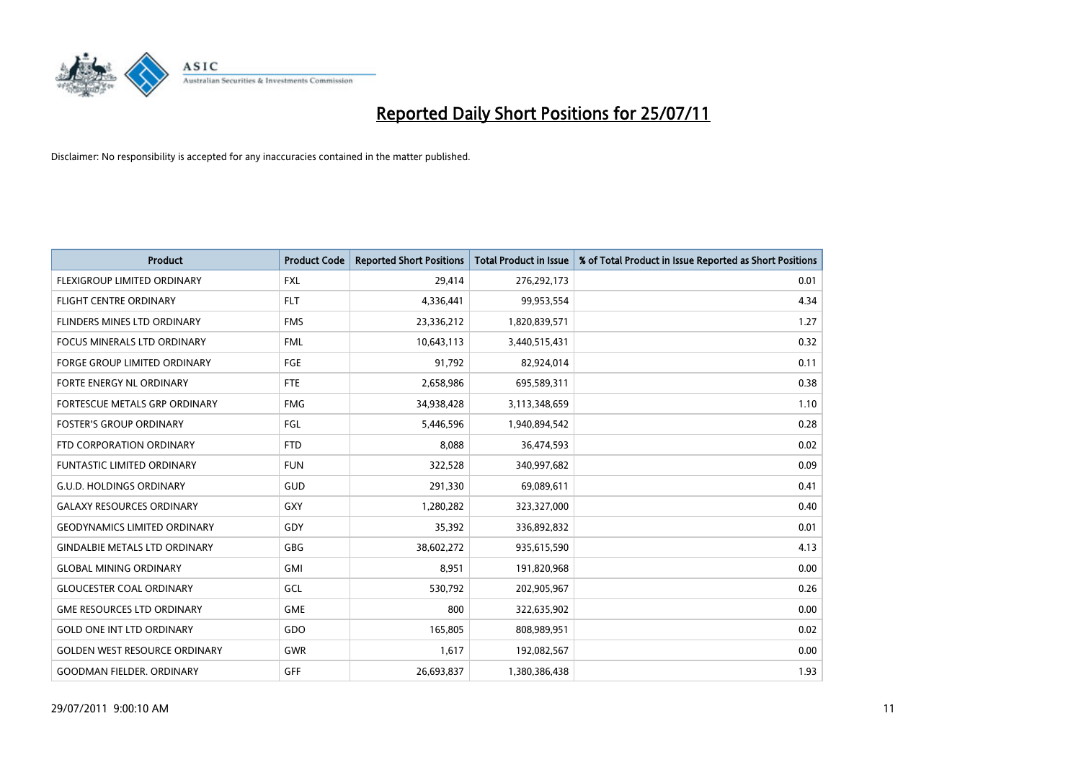

| <b>Product</b>                       | <b>Product Code</b> | <b>Reported Short Positions</b> | <b>Total Product in Issue</b> | % of Total Product in Issue Reported as Short Positions |
|--------------------------------------|---------------------|---------------------------------|-------------------------------|---------------------------------------------------------|
| FLEXIGROUP LIMITED ORDINARY          | <b>FXL</b>          | 29,414                          | 276,292,173                   | 0.01                                                    |
| FLIGHT CENTRE ORDINARY               | <b>FLT</b>          | 4,336,441                       | 99,953,554                    | 4.34                                                    |
| <b>FLINDERS MINES LTD ORDINARY</b>   | <b>FMS</b>          | 23,336,212                      | 1,820,839,571                 | 1.27                                                    |
| <b>FOCUS MINERALS LTD ORDINARY</b>   | <b>FML</b>          | 10,643,113                      | 3,440,515,431                 | 0.32                                                    |
| <b>FORGE GROUP LIMITED ORDINARY</b>  | <b>FGE</b>          | 91,792                          | 82,924,014                    | 0.11                                                    |
| FORTE ENERGY NL ORDINARY             | <b>FTE</b>          | 2,658,986                       | 695,589,311                   | 0.38                                                    |
| FORTESCUE METALS GRP ORDINARY        | <b>FMG</b>          | 34,938,428                      | 3,113,348,659                 | 1.10                                                    |
| <b>FOSTER'S GROUP ORDINARY</b>       | FGL                 | 5,446,596                       | 1,940,894,542                 | 0.28                                                    |
| FTD CORPORATION ORDINARY             | <b>FTD</b>          | 8,088                           | 36,474,593                    | 0.02                                                    |
| <b>FUNTASTIC LIMITED ORDINARY</b>    | <b>FUN</b>          | 322,528                         | 340,997,682                   | 0.09                                                    |
| <b>G.U.D. HOLDINGS ORDINARY</b>      | <b>GUD</b>          | 291,330                         | 69,089,611                    | 0.41                                                    |
| <b>GALAXY RESOURCES ORDINARY</b>     | GXY                 | 1,280,282                       | 323,327,000                   | 0.40                                                    |
| <b>GEODYNAMICS LIMITED ORDINARY</b>  | GDY                 | 35,392                          | 336,892,832                   | 0.01                                                    |
| <b>GINDALBIE METALS LTD ORDINARY</b> | GBG                 | 38,602,272                      | 935,615,590                   | 4.13                                                    |
| <b>GLOBAL MINING ORDINARY</b>        | <b>GMI</b>          | 8,951                           | 191,820,968                   | 0.00                                                    |
| <b>GLOUCESTER COAL ORDINARY</b>      | GCL                 | 530,792                         | 202,905,967                   | 0.26                                                    |
| <b>GME RESOURCES LTD ORDINARY</b>    | <b>GME</b>          | 800                             | 322,635,902                   | 0.00                                                    |
| <b>GOLD ONE INT LTD ORDINARY</b>     | GDO                 | 165,805                         | 808,989,951                   | 0.02                                                    |
| <b>GOLDEN WEST RESOURCE ORDINARY</b> | <b>GWR</b>          | 1,617                           | 192,082,567                   | 0.00                                                    |
| <b>GOODMAN FIELDER, ORDINARY</b>     | <b>GFF</b>          | 26,693,837                      | 1,380,386,438                 | 1.93                                                    |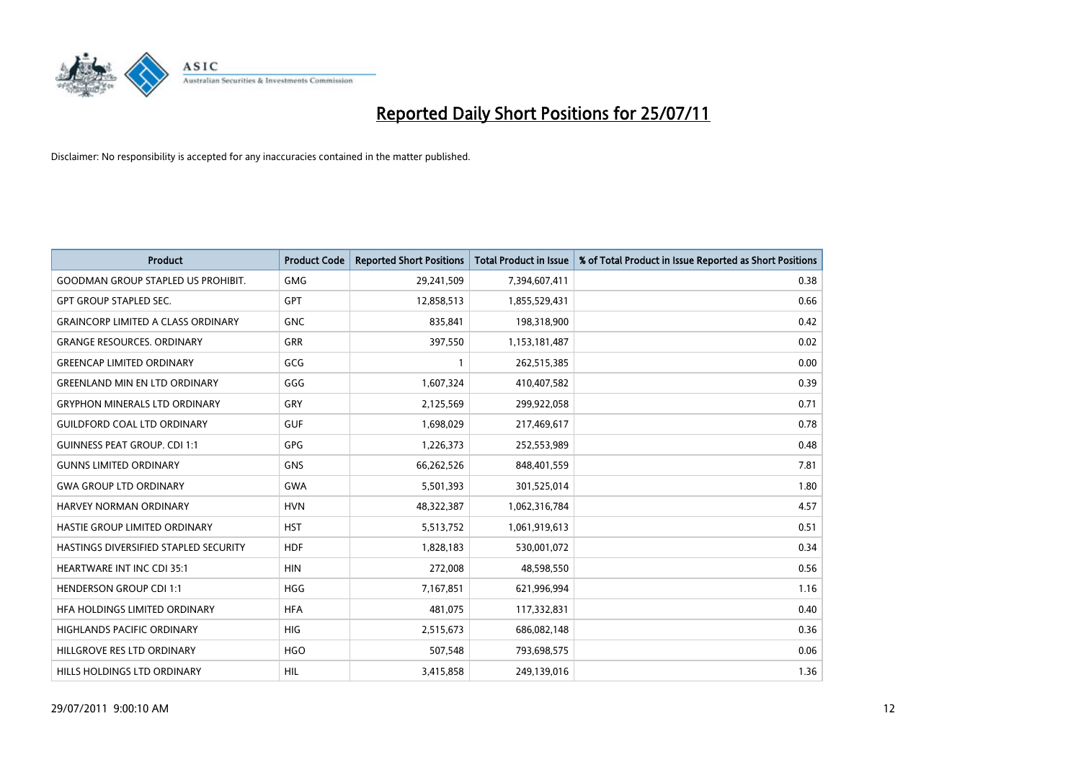

| <b>Product</b>                            | <b>Product Code</b> | <b>Reported Short Positions</b> | <b>Total Product in Issue</b> | % of Total Product in Issue Reported as Short Positions |
|-------------------------------------------|---------------------|---------------------------------|-------------------------------|---------------------------------------------------------|
| <b>GOODMAN GROUP STAPLED US PROHIBIT.</b> | <b>GMG</b>          | 29,241,509                      | 7,394,607,411                 | 0.38                                                    |
| <b>GPT GROUP STAPLED SEC.</b>             | <b>GPT</b>          | 12,858,513                      | 1,855,529,431                 | 0.66                                                    |
| <b>GRAINCORP LIMITED A CLASS ORDINARY</b> | <b>GNC</b>          | 835,841                         | 198,318,900                   | 0.42                                                    |
| <b>GRANGE RESOURCES. ORDINARY</b>         | <b>GRR</b>          | 397,550                         | 1,153,181,487                 | 0.02                                                    |
| <b>GREENCAP LIMITED ORDINARY</b>          | GCG                 |                                 | 262,515,385                   | 0.00                                                    |
| <b>GREENLAND MIN EN LTD ORDINARY</b>      | GGG                 | 1,607,324                       | 410,407,582                   | 0.39                                                    |
| <b>GRYPHON MINERALS LTD ORDINARY</b>      | GRY                 | 2,125,569                       | 299,922,058                   | 0.71                                                    |
| <b>GUILDFORD COAL LTD ORDINARY</b>        | <b>GUF</b>          | 1,698,029                       | 217,469,617                   | 0.78                                                    |
| <b>GUINNESS PEAT GROUP. CDI 1:1</b>       | <b>GPG</b>          | 1,226,373                       | 252,553,989                   | 0.48                                                    |
| <b>GUNNS LIMITED ORDINARY</b>             | <b>GNS</b>          | 66,262,526                      | 848,401,559                   | 7.81                                                    |
| <b>GWA GROUP LTD ORDINARY</b>             | <b>GWA</b>          | 5,501,393                       | 301,525,014                   | 1.80                                                    |
| <b>HARVEY NORMAN ORDINARY</b>             | <b>HVN</b>          | 48,322,387                      | 1,062,316,784                 | 4.57                                                    |
| HASTIE GROUP LIMITED ORDINARY             | <b>HST</b>          | 5,513,752                       | 1,061,919,613                 | 0.51                                                    |
| HASTINGS DIVERSIFIED STAPLED SECURITY     | <b>HDF</b>          | 1,828,183                       | 530,001,072                   | 0.34                                                    |
| HEARTWARE INT INC CDI 35:1                | <b>HIN</b>          | 272,008                         | 48,598,550                    | 0.56                                                    |
| <b>HENDERSON GROUP CDI 1:1</b>            | <b>HGG</b>          | 7,167,851                       | 621,996,994                   | 1.16                                                    |
| HFA HOLDINGS LIMITED ORDINARY             | <b>HFA</b>          | 481,075                         | 117,332,831                   | 0.40                                                    |
| HIGHLANDS PACIFIC ORDINARY                | <b>HIG</b>          | 2,515,673                       | 686,082,148                   | 0.36                                                    |
| HILLGROVE RES LTD ORDINARY                | <b>HGO</b>          | 507,548                         | 793,698,575                   | 0.06                                                    |
| HILLS HOLDINGS LTD ORDINARY               | <b>HIL</b>          | 3,415,858                       | 249,139,016                   | 1.36                                                    |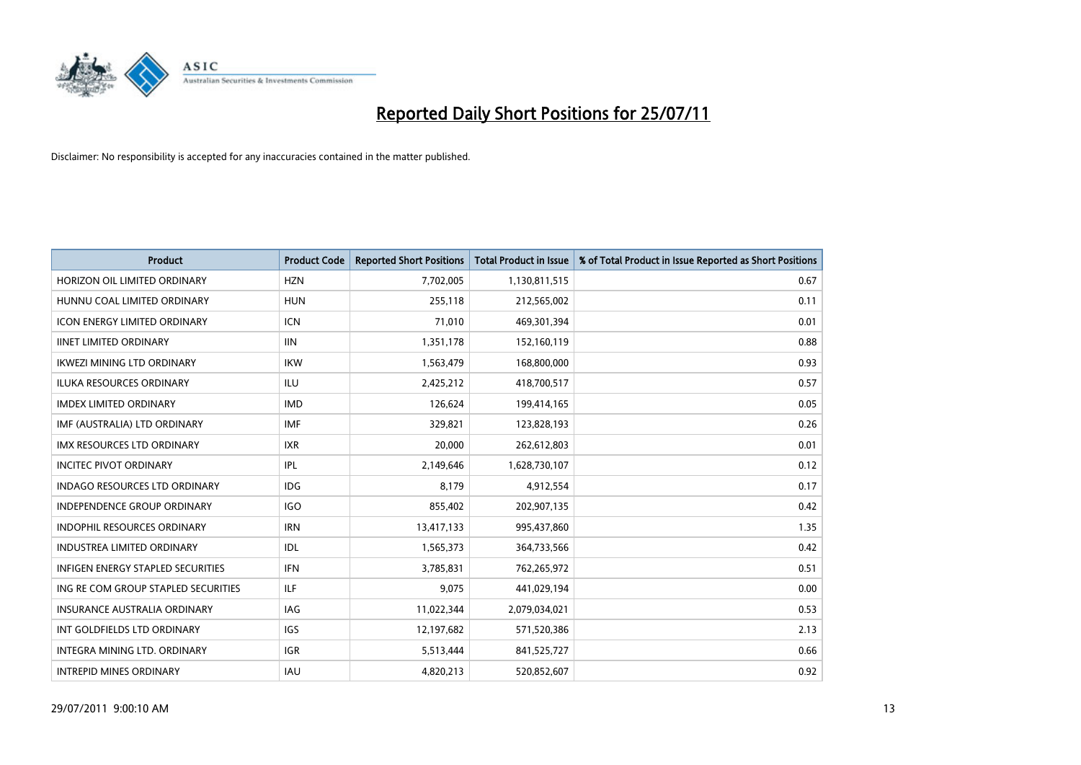

| <b>Product</b>                           | <b>Product Code</b> | <b>Reported Short Positions</b> | Total Product in Issue | % of Total Product in Issue Reported as Short Positions |
|------------------------------------------|---------------------|---------------------------------|------------------------|---------------------------------------------------------|
| HORIZON OIL LIMITED ORDINARY             | <b>HZN</b>          | 7,702,005                       | 1,130,811,515          | 0.67                                                    |
| HUNNU COAL LIMITED ORDINARY              | <b>HUN</b>          | 255,118                         | 212,565,002            | 0.11                                                    |
| <b>ICON ENERGY LIMITED ORDINARY</b>      | <b>ICN</b>          | 71,010                          | 469,301,394            | 0.01                                                    |
| <b>IINET LIMITED ORDINARY</b>            | <b>IIN</b>          | 1,351,178                       | 152,160,119            | 0.88                                                    |
| <b>IKWEZI MINING LTD ORDINARY</b>        | <b>IKW</b>          | 1,563,479                       | 168,800,000            | 0.93                                                    |
| <b>ILUKA RESOURCES ORDINARY</b>          | <b>ILU</b>          | 2,425,212                       | 418,700,517            | 0.57                                                    |
| <b>IMDEX LIMITED ORDINARY</b>            | <b>IMD</b>          | 126,624                         | 199,414,165            | 0.05                                                    |
| IMF (AUSTRALIA) LTD ORDINARY             | <b>IMF</b>          | 329,821                         | 123,828,193            | 0.26                                                    |
| IMX RESOURCES LTD ORDINARY               | <b>IXR</b>          | 20,000                          | 262,612,803            | 0.01                                                    |
| <b>INCITEC PIVOT ORDINARY</b>            | IPL                 | 2,149,646                       | 1,628,730,107          | 0.12                                                    |
| <b>INDAGO RESOURCES LTD ORDINARY</b>     | <b>IDG</b>          | 8,179                           | 4,912,554              | 0.17                                                    |
| <b>INDEPENDENCE GROUP ORDINARY</b>       | <b>IGO</b>          | 855,402                         | 202,907,135            | 0.42                                                    |
| <b>INDOPHIL RESOURCES ORDINARY</b>       | <b>IRN</b>          | 13,417,133                      | 995,437,860            | 1.35                                                    |
| <b>INDUSTREA LIMITED ORDINARY</b>        | IDL                 | 1,565,373                       | 364,733,566            | 0.42                                                    |
| <b>INFIGEN ENERGY STAPLED SECURITIES</b> | <b>IFN</b>          | 3,785,831                       | 762,265,972            | 0.51                                                    |
| ING RE COM GROUP STAPLED SECURITIES      | <b>ILF</b>          | 9.075                           | 441,029,194            | 0.00                                                    |
| <b>INSURANCE AUSTRALIA ORDINARY</b>      | <b>IAG</b>          | 11,022,344                      | 2,079,034,021          | 0.53                                                    |
| INT GOLDFIELDS LTD ORDINARY              | <b>IGS</b>          | 12,197,682                      | 571,520,386            | 2.13                                                    |
| INTEGRA MINING LTD, ORDINARY             | <b>IGR</b>          | 5,513,444                       | 841,525,727            | 0.66                                                    |
| <b>INTREPID MINES ORDINARY</b>           | <b>IAU</b>          | 4,820,213                       | 520,852,607            | 0.92                                                    |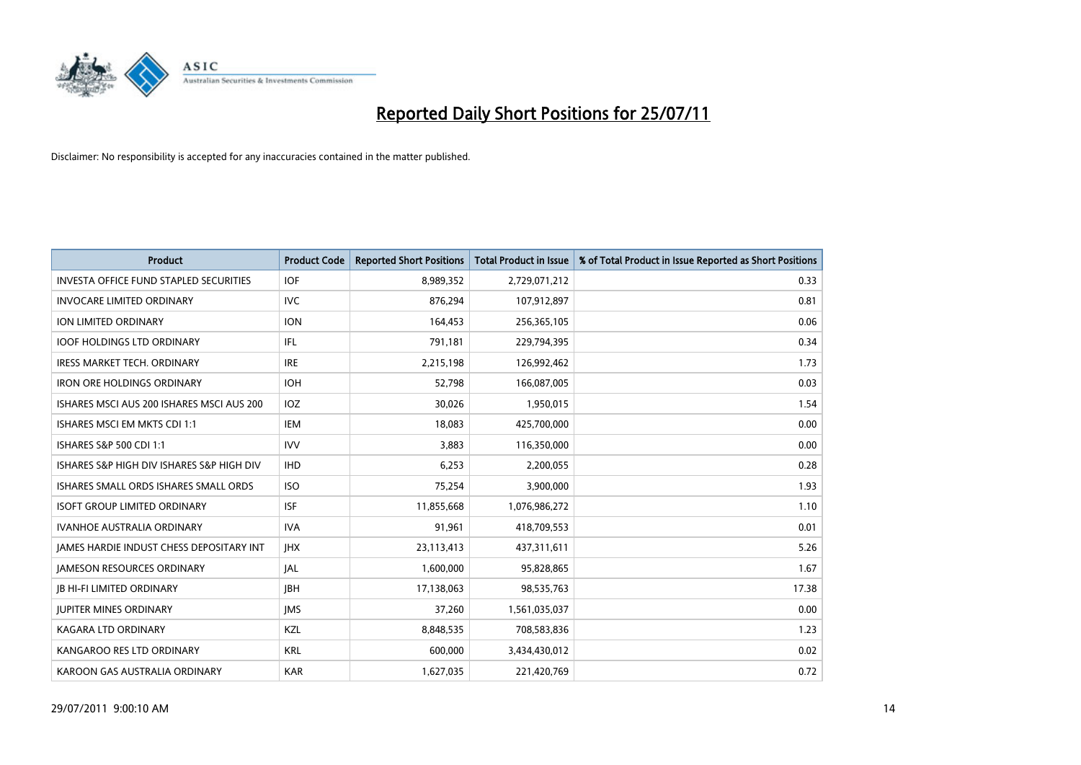

| <b>Product</b>                                  | <b>Product Code</b> | <b>Reported Short Positions</b> | <b>Total Product in Issue</b> | % of Total Product in Issue Reported as Short Positions |
|-------------------------------------------------|---------------------|---------------------------------|-------------------------------|---------------------------------------------------------|
| <b>INVESTA OFFICE FUND STAPLED SECURITIES</b>   | <b>IOF</b>          | 8,989,352                       | 2,729,071,212                 | 0.33                                                    |
| <b>INVOCARE LIMITED ORDINARY</b>                | <b>IVC</b>          | 876,294                         | 107,912,897                   | 0.81                                                    |
| <b>ION LIMITED ORDINARY</b>                     | <b>ION</b>          | 164,453                         | 256,365,105                   | 0.06                                                    |
| <b>IOOF HOLDINGS LTD ORDINARY</b>               | <b>IFL</b>          | 791,181                         | 229,794,395                   | 0.34                                                    |
| <b>IRESS MARKET TECH. ORDINARY</b>              | <b>IRE</b>          | 2,215,198                       | 126,992,462                   | 1.73                                                    |
| <b>IRON ORE HOLDINGS ORDINARY</b>               | <b>IOH</b>          | 52.798                          | 166,087,005                   | 0.03                                                    |
| ISHARES MSCI AUS 200 ISHARES MSCI AUS 200       | IOZ                 | 30,026                          | 1,950,015                     | 1.54                                                    |
| ISHARES MSCI EM MKTS CDI 1:1                    | <b>IEM</b>          | 18,083                          | 425,700,000                   | 0.00                                                    |
| ISHARES S&P 500 CDI 1:1                         | <b>IVV</b>          | 3,883                           | 116,350,000                   | 0.00                                                    |
| ISHARES S&P HIGH DIV ISHARES S&P HIGH DIV       | <b>IHD</b>          | 6,253                           | 2,200,055                     | 0.28                                                    |
| ISHARES SMALL ORDS ISHARES SMALL ORDS           | <b>ISO</b>          | 75,254                          | 3,900,000                     | 1.93                                                    |
| <b>ISOFT GROUP LIMITED ORDINARY</b>             | <b>ISF</b>          | 11,855,668                      | 1,076,986,272                 | 1.10                                                    |
| <b>IVANHOE AUSTRALIA ORDINARY</b>               | <b>IVA</b>          | 91,961                          | 418,709,553                   | 0.01                                                    |
| <b>IAMES HARDIE INDUST CHESS DEPOSITARY INT</b> | <b>IHX</b>          | 23,113,413                      | 437,311,611                   | 5.26                                                    |
| <b>JAMESON RESOURCES ORDINARY</b>               | JAL                 | 1,600,000                       | 95,828,865                    | 1.67                                                    |
| <b>JB HI-FI LIMITED ORDINARY</b>                | <b>IBH</b>          | 17,138,063                      | 98,535,763                    | 17.38                                                   |
| <b>JUPITER MINES ORDINARY</b>                   | <b>IMS</b>          | 37,260                          | 1,561,035,037                 | 0.00                                                    |
| <b>KAGARA LTD ORDINARY</b>                      | KZL                 | 8,848,535                       | 708,583,836                   | 1.23                                                    |
| KANGAROO RES LTD ORDINARY                       | <b>KRL</b>          | 600,000                         | 3,434,430,012                 | 0.02                                                    |
| KAROON GAS AUSTRALIA ORDINARY                   | <b>KAR</b>          | 1,627,035                       | 221,420,769                   | 0.72                                                    |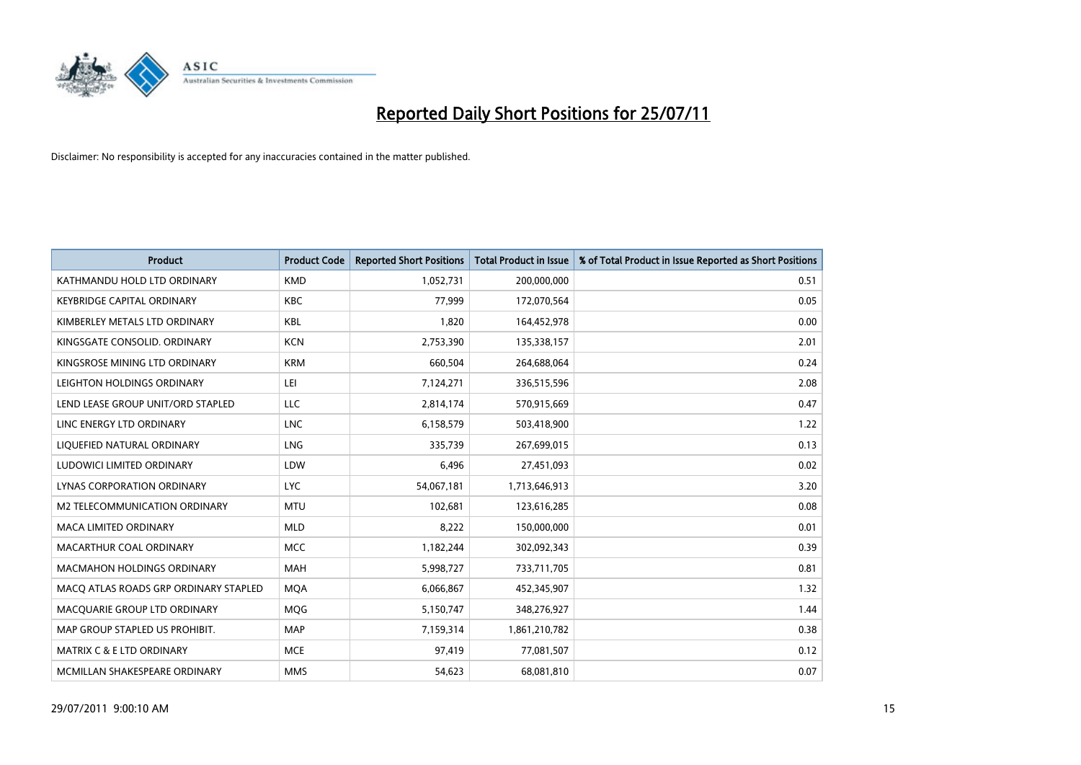

| <b>Product</b>                        | <b>Product Code</b> | <b>Reported Short Positions</b> | <b>Total Product in Issue</b> | % of Total Product in Issue Reported as Short Positions |
|---------------------------------------|---------------------|---------------------------------|-------------------------------|---------------------------------------------------------|
| KATHMANDU HOLD LTD ORDINARY           | <b>KMD</b>          | 1,052,731                       | 200,000,000                   | 0.51                                                    |
| <b>KEYBRIDGE CAPITAL ORDINARY</b>     | <b>KBC</b>          | 77.999                          | 172,070,564                   | 0.05                                                    |
| KIMBERLEY METALS LTD ORDINARY         | <b>KBL</b>          | 1,820                           | 164,452,978                   | 0.00                                                    |
| KINGSGATE CONSOLID. ORDINARY          | <b>KCN</b>          | 2,753,390                       | 135,338,157                   | 2.01                                                    |
| KINGSROSE MINING LTD ORDINARY         | <b>KRM</b>          | 660,504                         | 264,688,064                   | 0.24                                                    |
| LEIGHTON HOLDINGS ORDINARY            | LEI                 | 7,124,271                       | 336,515,596                   | 2.08                                                    |
| LEND LEASE GROUP UNIT/ORD STAPLED     | LLC                 | 2,814,174                       | 570,915,669                   | 0.47                                                    |
| LINC ENERGY LTD ORDINARY              | <b>LNC</b>          | 6,158,579                       | 503,418,900                   | 1.22                                                    |
| LIQUEFIED NATURAL ORDINARY            | <b>LNG</b>          | 335,739                         | 267,699,015                   | 0.13                                                    |
| LUDOWICI LIMITED ORDINARY             | LDW                 | 6,496                           | 27,451,093                    | 0.02                                                    |
| LYNAS CORPORATION ORDINARY            | <b>LYC</b>          | 54,067,181                      | 1,713,646,913                 | 3.20                                                    |
| M2 TELECOMMUNICATION ORDINARY         | <b>MTU</b>          | 102,681                         | 123,616,285                   | 0.08                                                    |
| <b>MACA LIMITED ORDINARY</b>          | <b>MLD</b>          | 8,222                           | 150,000,000                   | 0.01                                                    |
| MACARTHUR COAL ORDINARY               | <b>MCC</b>          | 1,182,244                       | 302,092,343                   | 0.39                                                    |
| <b>MACMAHON HOLDINGS ORDINARY</b>     | <b>MAH</b>          | 5,998,727                       | 733,711,705                   | 0.81                                                    |
| MACQ ATLAS ROADS GRP ORDINARY STAPLED | <b>MOA</b>          | 6,066,867                       | 452,345,907                   | 1.32                                                    |
| MACQUARIE GROUP LTD ORDINARY          | <b>MQG</b>          | 5,150,747                       | 348,276,927                   | 1.44                                                    |
| MAP GROUP STAPLED US PROHIBIT.        | <b>MAP</b>          | 7,159,314                       | 1,861,210,782                 | 0.38                                                    |
| MATRIX C & E LTD ORDINARY             | <b>MCE</b>          | 97,419                          | 77,081,507                    | 0.12                                                    |
| MCMILLAN SHAKESPEARE ORDINARY         | <b>MMS</b>          | 54,623                          | 68,081,810                    | 0.07                                                    |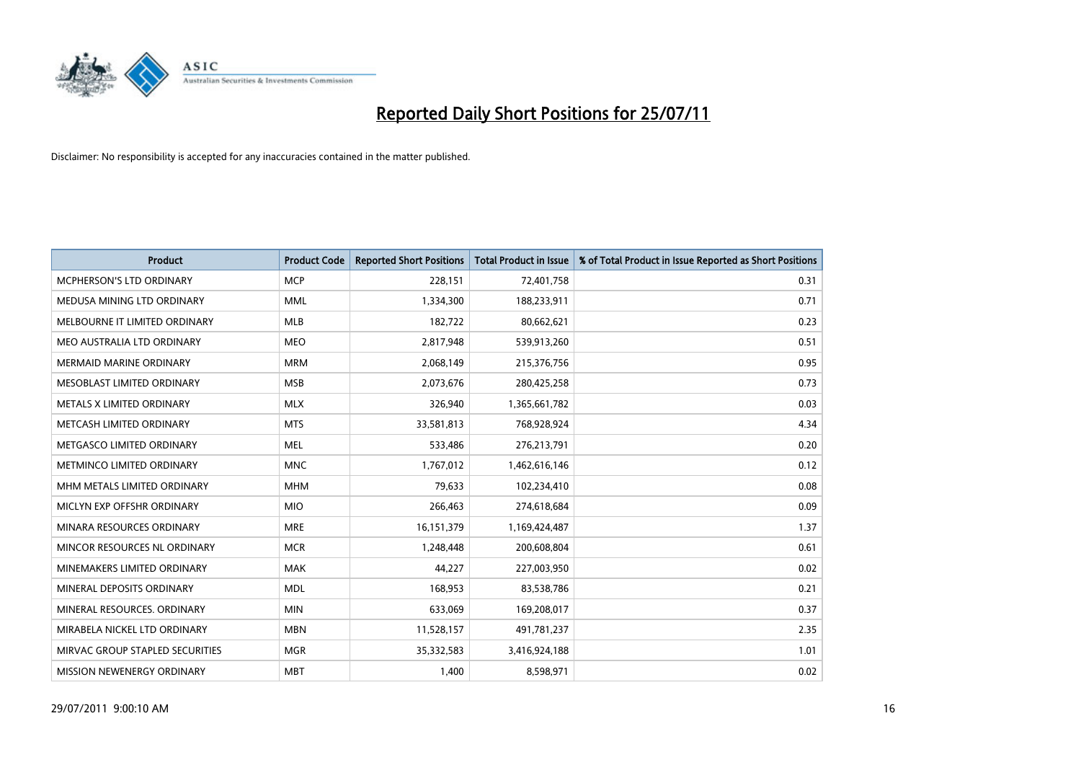

| <b>Product</b>                   | <b>Product Code</b> | <b>Reported Short Positions</b> | <b>Total Product in Issue</b> | % of Total Product in Issue Reported as Short Positions |
|----------------------------------|---------------------|---------------------------------|-------------------------------|---------------------------------------------------------|
| <b>MCPHERSON'S LTD ORDINARY</b>  | <b>MCP</b>          | 228,151                         | 72,401,758                    | 0.31                                                    |
| MEDUSA MINING LTD ORDINARY       | <b>MML</b>          | 1,334,300                       | 188,233,911                   | 0.71                                                    |
| MELBOURNE IT LIMITED ORDINARY    | <b>MLB</b>          | 182,722                         | 80,662,621                    | 0.23                                                    |
| MEO AUSTRALIA LTD ORDINARY       | <b>MEO</b>          | 2,817,948                       | 539,913,260                   | 0.51                                                    |
| <b>MERMAID MARINE ORDINARY</b>   | <b>MRM</b>          | 2,068,149                       | 215,376,756                   | 0.95                                                    |
| MESOBLAST LIMITED ORDINARY       | <b>MSB</b>          | 2,073,676                       | 280,425,258                   | 0.73                                                    |
| <b>METALS X LIMITED ORDINARY</b> | <b>MLX</b>          | 326,940                         | 1,365,661,782                 | 0.03                                                    |
| METCASH LIMITED ORDINARY         | <b>MTS</b>          | 33,581,813                      | 768,928,924                   | 4.34                                                    |
| METGASCO LIMITED ORDINARY        | <b>MEL</b>          | 533,486                         | 276,213,791                   | 0.20                                                    |
| METMINCO LIMITED ORDINARY        | <b>MNC</b>          | 1,767,012                       | 1,462,616,146                 | 0.12                                                    |
| MHM METALS LIMITED ORDINARY      | <b>MHM</b>          | 79,633                          | 102,234,410                   | 0.08                                                    |
| MICLYN EXP OFFSHR ORDINARY       | <b>MIO</b>          | 266,463                         | 274,618,684                   | 0.09                                                    |
| MINARA RESOURCES ORDINARY        | <b>MRE</b>          | 16,151,379                      | 1,169,424,487                 | 1.37                                                    |
| MINCOR RESOURCES NL ORDINARY     | <b>MCR</b>          | 1,248,448                       | 200,608,804                   | 0.61                                                    |
| MINEMAKERS LIMITED ORDINARY      | <b>MAK</b>          | 44,227                          | 227,003,950                   | 0.02                                                    |
| MINERAL DEPOSITS ORDINARY        | <b>MDL</b>          | 168,953                         | 83,538,786                    | 0.21                                                    |
| MINERAL RESOURCES. ORDINARY      | <b>MIN</b>          | 633,069                         | 169,208,017                   | 0.37                                                    |
| MIRABELA NICKEL LTD ORDINARY     | <b>MBN</b>          | 11,528,157                      | 491,781,237                   | 2.35                                                    |
| MIRVAC GROUP STAPLED SECURITIES  | <b>MGR</b>          | 35,332,583                      | 3,416,924,188                 | 1.01                                                    |
| MISSION NEWENERGY ORDINARY       | <b>MBT</b>          | 1,400                           | 8,598,971                     | 0.02                                                    |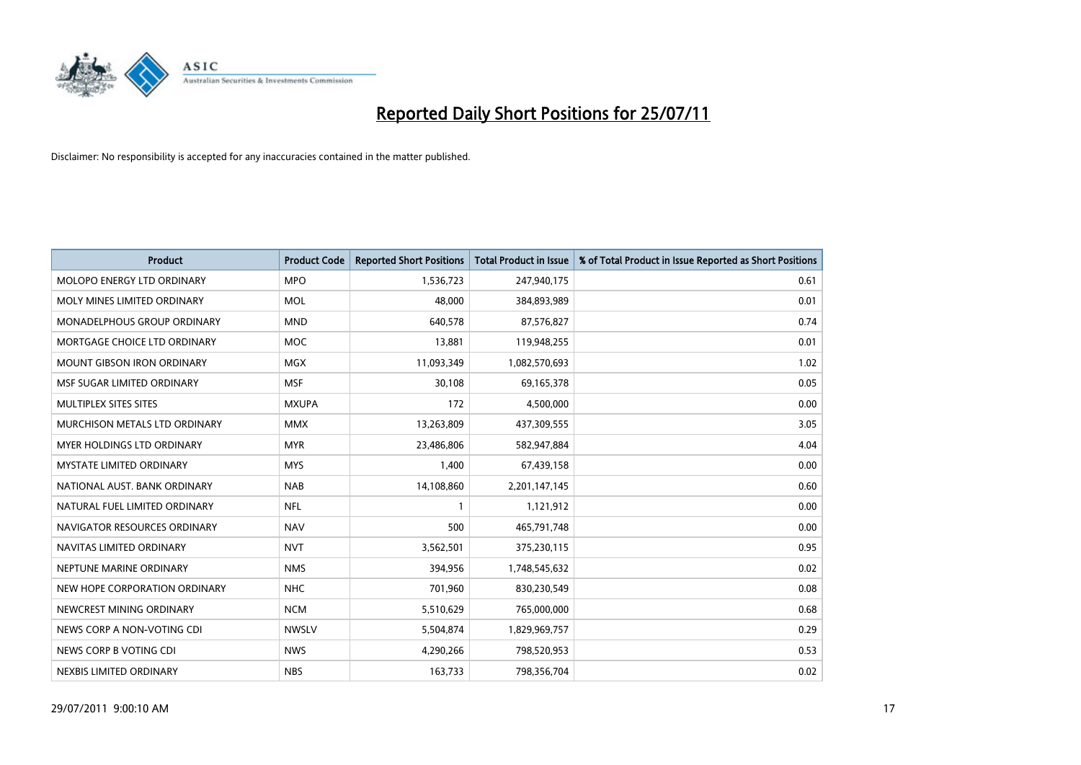

| <b>Product</b>                    | <b>Product Code</b> | <b>Reported Short Positions</b> | <b>Total Product in Issue</b> | % of Total Product in Issue Reported as Short Positions |
|-----------------------------------|---------------------|---------------------------------|-------------------------------|---------------------------------------------------------|
| <b>MOLOPO ENERGY LTD ORDINARY</b> | <b>MPO</b>          | 1,536,723                       | 247,940,175                   | 0.61                                                    |
| MOLY MINES LIMITED ORDINARY       | <b>MOL</b>          | 48,000                          | 384,893,989                   | 0.01                                                    |
| MONADELPHOUS GROUP ORDINARY       | <b>MND</b>          | 640,578                         | 87,576,827                    | 0.74                                                    |
| MORTGAGE CHOICE LTD ORDINARY      | <b>MOC</b>          | 13,881                          | 119,948,255                   | 0.01                                                    |
| <b>MOUNT GIBSON IRON ORDINARY</b> | <b>MGX</b>          | 11,093,349                      | 1,082,570,693                 | 1.02                                                    |
| MSF SUGAR LIMITED ORDINARY        | <b>MSF</b>          | 30,108                          | 69,165,378                    | 0.05                                                    |
| MULTIPLEX SITES SITES             | <b>MXUPA</b>        | 172                             | 4,500,000                     | 0.00                                                    |
| MURCHISON METALS LTD ORDINARY     | <b>MMX</b>          | 13,263,809                      | 437,309,555                   | 3.05                                                    |
| <b>MYER HOLDINGS LTD ORDINARY</b> | <b>MYR</b>          | 23,486,806                      | 582,947,884                   | 4.04                                                    |
| <b>MYSTATE LIMITED ORDINARY</b>   | <b>MYS</b>          | 1,400                           | 67,439,158                    | 0.00                                                    |
| NATIONAL AUST. BANK ORDINARY      | <b>NAB</b>          | 14,108,860                      | 2,201,147,145                 | 0.60                                                    |
| NATURAL FUEL LIMITED ORDINARY     | <b>NFL</b>          |                                 | 1,121,912                     | 0.00                                                    |
| NAVIGATOR RESOURCES ORDINARY      | <b>NAV</b>          | 500                             | 465,791,748                   | 0.00                                                    |
| NAVITAS LIMITED ORDINARY          | <b>NVT</b>          | 3,562,501                       | 375,230,115                   | 0.95                                                    |
| NEPTUNE MARINE ORDINARY           | <b>NMS</b>          | 394,956                         | 1,748,545,632                 | 0.02                                                    |
| NEW HOPE CORPORATION ORDINARY     | <b>NHC</b>          | 701,960                         | 830,230,549                   | 0.08                                                    |
| NEWCREST MINING ORDINARY          | <b>NCM</b>          | 5,510,629                       | 765,000,000                   | 0.68                                                    |
| NEWS CORP A NON-VOTING CDI        | <b>NWSLV</b>        | 5,504,874                       | 1,829,969,757                 | 0.29                                                    |
| NEWS CORP B VOTING CDI            | <b>NWS</b>          | 4,290,266                       | 798,520,953                   | 0.53                                                    |
| NEXBIS LIMITED ORDINARY           | <b>NBS</b>          | 163,733                         | 798,356,704                   | 0.02                                                    |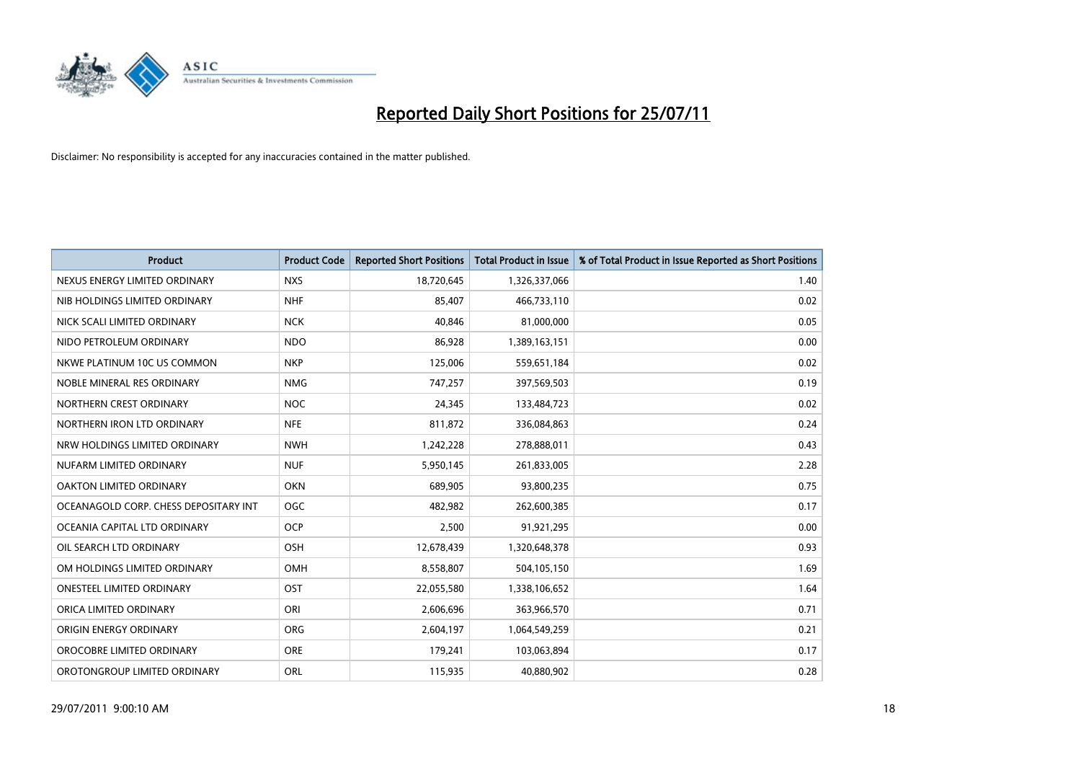

| <b>Product</b>                        | <b>Product Code</b> | <b>Reported Short Positions</b> | Total Product in Issue | % of Total Product in Issue Reported as Short Positions |
|---------------------------------------|---------------------|---------------------------------|------------------------|---------------------------------------------------------|
| NEXUS ENERGY LIMITED ORDINARY         | <b>NXS</b>          | 18,720,645                      | 1,326,337,066          | 1.40                                                    |
| NIB HOLDINGS LIMITED ORDINARY         | <b>NHF</b>          | 85,407                          | 466,733,110            | 0.02                                                    |
| NICK SCALI LIMITED ORDINARY           | <b>NCK</b>          | 40,846                          | 81,000,000             | 0.05                                                    |
| NIDO PETROLEUM ORDINARY               | <b>NDO</b>          | 86,928                          | 1,389,163,151          | 0.00                                                    |
| NKWE PLATINUM 10C US COMMON           | <b>NKP</b>          | 125,006                         | 559,651,184            | 0.02                                                    |
| NOBLE MINERAL RES ORDINARY            | <b>NMG</b>          | 747,257                         | 397,569,503            | 0.19                                                    |
| NORTHERN CREST ORDINARY               | <b>NOC</b>          | 24,345                          | 133,484,723            | 0.02                                                    |
| NORTHERN IRON LTD ORDINARY            | <b>NFE</b>          | 811,872                         | 336,084,863            | 0.24                                                    |
| NRW HOLDINGS LIMITED ORDINARY         | <b>NWH</b>          | 1,242,228                       | 278,888,011            | 0.43                                                    |
| NUFARM LIMITED ORDINARY               | <b>NUF</b>          | 5,950,145                       | 261,833,005            | 2.28                                                    |
| OAKTON LIMITED ORDINARY               | <b>OKN</b>          | 689,905                         | 93,800,235             | 0.75                                                    |
| OCEANAGOLD CORP. CHESS DEPOSITARY INT | <b>OGC</b>          | 482,982                         | 262,600,385            | 0.17                                                    |
| OCEANIA CAPITAL LTD ORDINARY          | <b>OCP</b>          | 2,500                           | 91,921,295             | 0.00                                                    |
| OIL SEARCH LTD ORDINARY               | <b>OSH</b>          | 12,678,439                      | 1,320,648,378          | 0.93                                                    |
| OM HOLDINGS LIMITED ORDINARY          | OMH                 | 8,558,807                       | 504,105,150            | 1.69                                                    |
| <b>ONESTEEL LIMITED ORDINARY</b>      | OST                 | 22,055,580                      | 1,338,106,652          | 1.64                                                    |
| ORICA LIMITED ORDINARY                | ORI                 | 2,606,696                       | 363,966,570            | 0.71                                                    |
| ORIGIN ENERGY ORDINARY                | <b>ORG</b>          | 2,604,197                       | 1,064,549,259          | 0.21                                                    |
| OROCOBRE LIMITED ORDINARY             | <b>ORE</b>          | 179,241                         | 103,063,894            | 0.17                                                    |
| OROTONGROUP LIMITED ORDINARY          | ORL                 | 115,935                         | 40,880,902             | 0.28                                                    |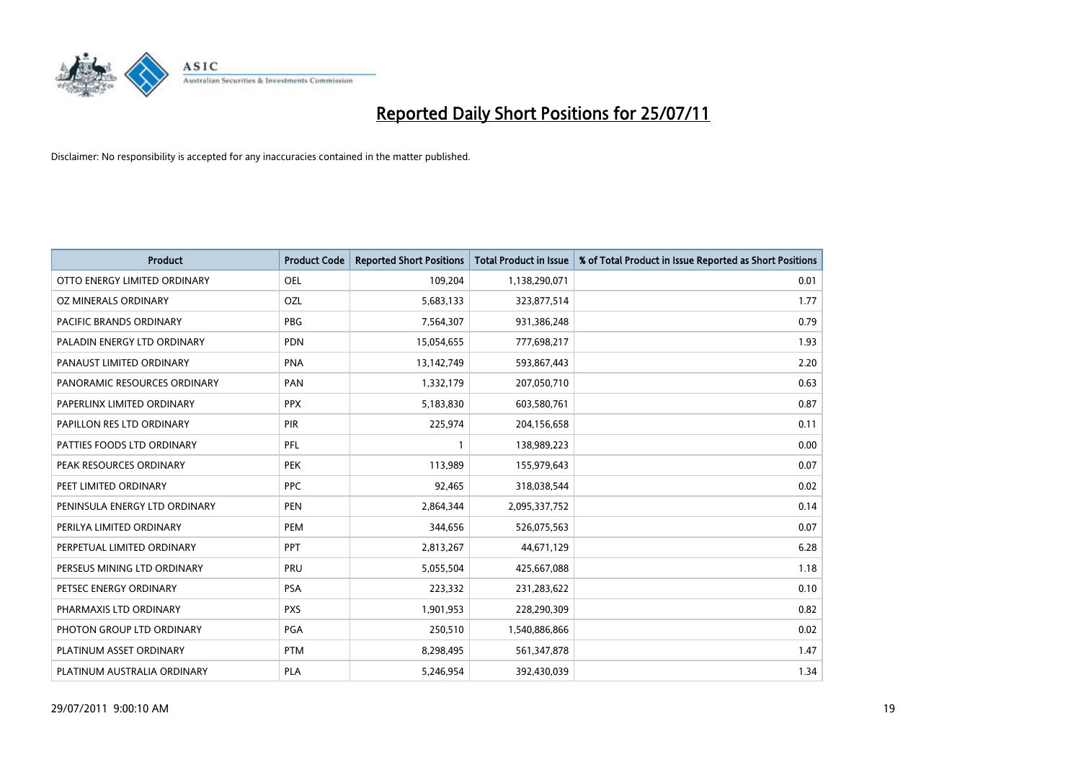

| <b>Product</b>                 | <b>Product Code</b> | <b>Reported Short Positions</b> | <b>Total Product in Issue</b> | % of Total Product in Issue Reported as Short Positions |
|--------------------------------|---------------------|---------------------------------|-------------------------------|---------------------------------------------------------|
| OTTO ENERGY LIMITED ORDINARY   | <b>OEL</b>          | 109,204                         | 1,138,290,071                 | 0.01                                                    |
| OZ MINERALS ORDINARY           | <b>OZL</b>          | 5,683,133                       | 323,877,514                   | 1.77                                                    |
| <b>PACIFIC BRANDS ORDINARY</b> | <b>PBG</b>          | 7,564,307                       | 931,386,248                   | 0.79                                                    |
| PALADIN ENERGY LTD ORDINARY    | <b>PDN</b>          | 15,054,655                      | 777,698,217                   | 1.93                                                    |
| PANAUST LIMITED ORDINARY       | <b>PNA</b>          | 13,142,749                      | 593,867,443                   | 2.20                                                    |
| PANORAMIC RESOURCES ORDINARY   | PAN                 | 1,332,179                       | 207,050,710                   | 0.63                                                    |
| PAPERLINX LIMITED ORDINARY     | <b>PPX</b>          | 5,183,830                       | 603,580,761                   | 0.87                                                    |
| PAPILLON RES LTD ORDINARY      | PIR                 | 225,974                         | 204,156,658                   | 0.11                                                    |
| PATTIES FOODS LTD ORDINARY     | PFL                 |                                 | 138,989,223                   | 0.00                                                    |
| PEAK RESOURCES ORDINARY        | <b>PEK</b>          | 113,989                         | 155,979,643                   | 0.07                                                    |
| PEET LIMITED ORDINARY          | <b>PPC</b>          | 92,465                          | 318,038,544                   | 0.02                                                    |
| PENINSULA ENERGY LTD ORDINARY  | <b>PEN</b>          | 2,864,344                       | 2,095,337,752                 | 0.14                                                    |
| PERILYA LIMITED ORDINARY       | PEM                 | 344,656                         | 526,075,563                   | 0.07                                                    |
| PERPETUAL LIMITED ORDINARY     | PPT                 | 2,813,267                       | 44,671,129                    | 6.28                                                    |
| PERSEUS MINING LTD ORDINARY    | PRU                 | 5,055,504                       | 425,667,088                   | 1.18                                                    |
| PETSEC ENERGY ORDINARY         | PSA                 | 223,332                         | 231,283,622                   | 0.10                                                    |
| PHARMAXIS LTD ORDINARY         | <b>PXS</b>          | 1,901,953                       | 228,290,309                   | 0.82                                                    |
| PHOTON GROUP LTD ORDINARY      | PGA                 | 250,510                         | 1,540,886,866                 | 0.02                                                    |
| PLATINUM ASSET ORDINARY        | <b>PTM</b>          | 8,298,495                       | 561,347,878                   | 1.47                                                    |
| PLATINUM AUSTRALIA ORDINARY    | PLA                 | 5,246,954                       | 392,430,039                   | 1.34                                                    |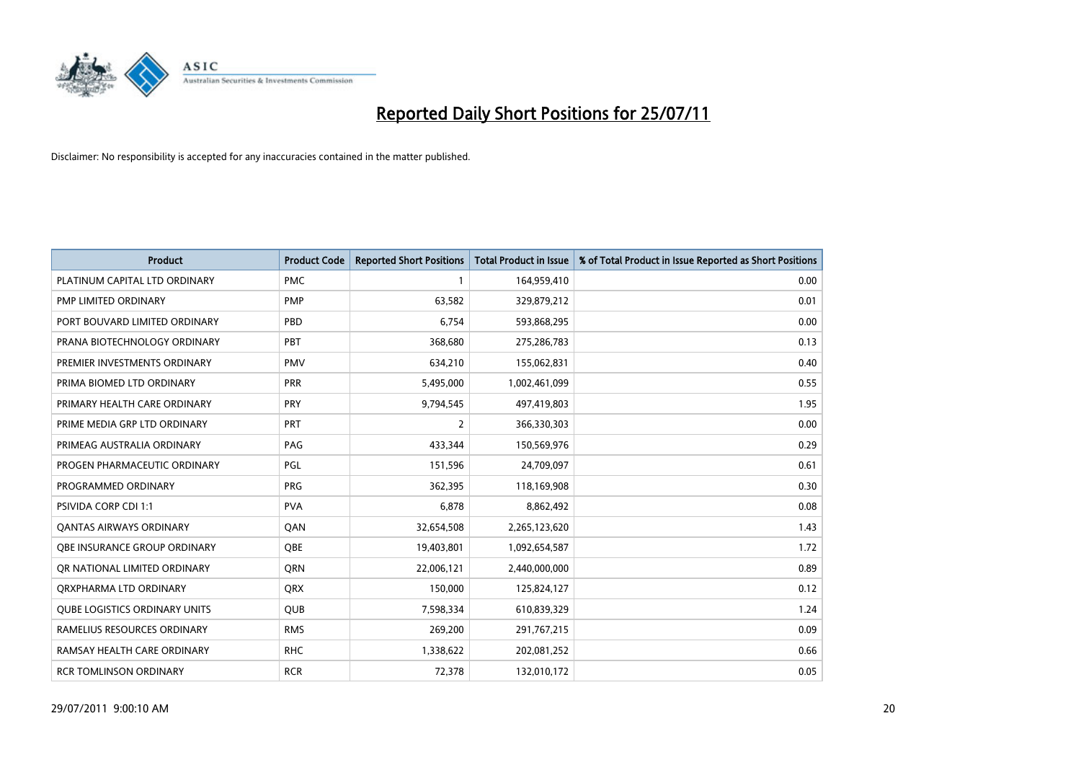

| <b>Product</b>                       | <b>Product Code</b> | <b>Reported Short Positions</b> | <b>Total Product in Issue</b> | % of Total Product in Issue Reported as Short Positions |
|--------------------------------------|---------------------|---------------------------------|-------------------------------|---------------------------------------------------------|
| PLATINUM CAPITAL LTD ORDINARY        | <b>PMC</b>          |                                 | 164,959,410                   | 0.00                                                    |
| PMP LIMITED ORDINARY                 | <b>PMP</b>          | 63,582                          | 329,879,212                   | 0.01                                                    |
| PORT BOUVARD LIMITED ORDINARY        | PBD                 | 6,754                           | 593,868,295                   | 0.00                                                    |
| PRANA BIOTECHNOLOGY ORDINARY         | PBT                 | 368,680                         | 275,286,783                   | 0.13                                                    |
| PREMIER INVESTMENTS ORDINARY         | <b>PMV</b>          | 634,210                         | 155,062,831                   | 0.40                                                    |
| PRIMA BIOMED LTD ORDINARY            | <b>PRR</b>          | 5,495,000                       | 1,002,461,099                 | 0.55                                                    |
| PRIMARY HEALTH CARE ORDINARY         | PRY                 | 9,794,545                       | 497,419,803                   | 1.95                                                    |
| PRIME MEDIA GRP LTD ORDINARY         | PRT                 | $\overline{2}$                  | 366,330,303                   | 0.00                                                    |
| PRIMEAG AUSTRALIA ORDINARY           | PAG                 | 433,344                         | 150,569,976                   | 0.29                                                    |
| PROGEN PHARMACEUTIC ORDINARY         | PGL                 | 151,596                         | 24,709,097                    | 0.61                                                    |
| PROGRAMMED ORDINARY                  | <b>PRG</b>          | 362,395                         | 118,169,908                   | 0.30                                                    |
| <b>PSIVIDA CORP CDI 1:1</b>          | <b>PVA</b>          | 6,878                           | 8,862,492                     | 0.08                                                    |
| <b>QANTAS AIRWAYS ORDINARY</b>       | QAN                 | 32,654,508                      | 2,265,123,620                 | 1.43                                                    |
| OBE INSURANCE GROUP ORDINARY         | <b>QBE</b>          | 19,403,801                      | 1,092,654,587                 | 1.72                                                    |
| OR NATIONAL LIMITED ORDINARY         | <b>ORN</b>          | 22,006,121                      | 2,440,000,000                 | 0.89                                                    |
| ORXPHARMA LTD ORDINARY               | <b>ORX</b>          | 150,000                         | 125,824,127                   | 0.12                                                    |
| <b>QUBE LOGISTICS ORDINARY UNITS</b> | <b>QUB</b>          | 7,598,334                       | 610,839,329                   | 1.24                                                    |
| RAMELIUS RESOURCES ORDINARY          | <b>RMS</b>          | 269,200                         | 291,767,215                   | 0.09                                                    |
| RAMSAY HEALTH CARE ORDINARY          | <b>RHC</b>          | 1,338,622                       | 202,081,252                   | 0.66                                                    |
| <b>RCR TOMLINSON ORDINARY</b>        | <b>RCR</b>          | 72,378                          | 132,010,172                   | 0.05                                                    |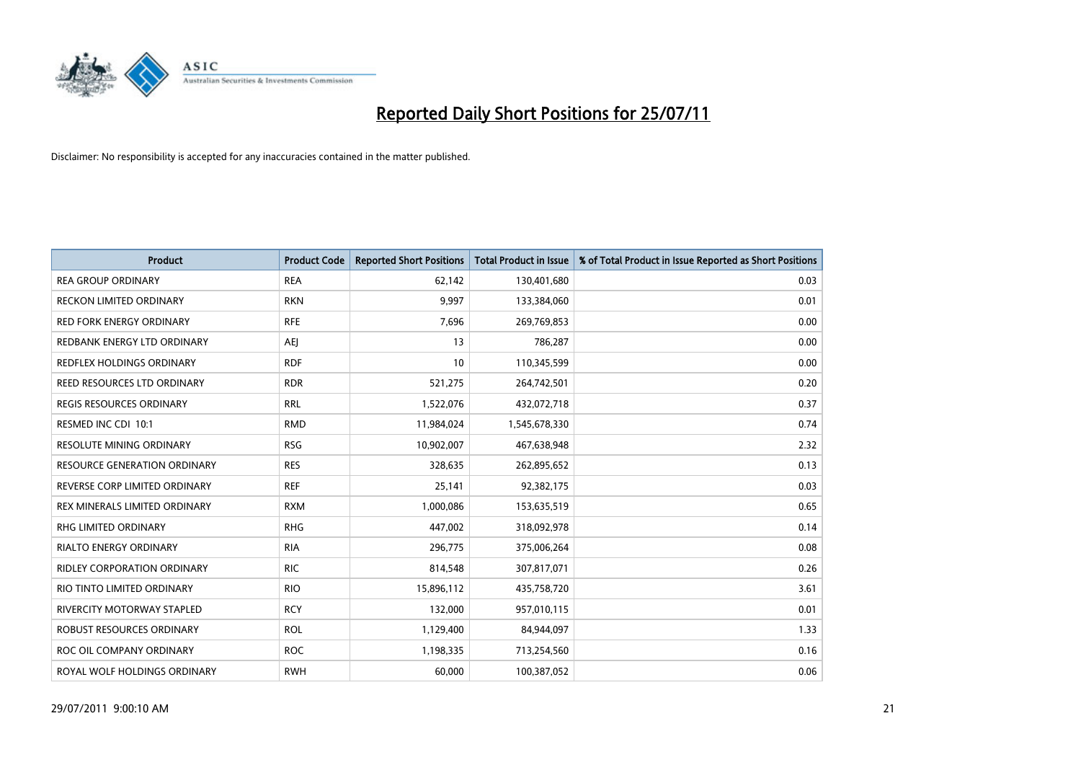

| <b>Product</b>                      | <b>Product Code</b> | <b>Reported Short Positions</b> | Total Product in Issue | % of Total Product in Issue Reported as Short Positions |
|-------------------------------------|---------------------|---------------------------------|------------------------|---------------------------------------------------------|
| <b>REA GROUP ORDINARY</b>           | <b>REA</b>          | 62,142                          | 130,401,680            | 0.03                                                    |
| RECKON LIMITED ORDINARY             | <b>RKN</b>          | 9,997                           | 133,384,060            | 0.01                                                    |
| <b>RED FORK ENERGY ORDINARY</b>     | <b>RFE</b>          | 7,696                           | 269,769,853            | 0.00                                                    |
| REDBANK ENERGY LTD ORDINARY         | AEJ                 | 13                              | 786,287                | 0.00                                                    |
| REDFLEX HOLDINGS ORDINARY           | <b>RDF</b>          | 10                              | 110,345,599            | 0.00                                                    |
| REED RESOURCES LTD ORDINARY         | <b>RDR</b>          | 521,275                         | 264,742,501            | 0.20                                                    |
| REGIS RESOURCES ORDINARY            | <b>RRL</b>          | 1,522,076                       | 432,072,718            | 0.37                                                    |
| RESMED INC CDI 10:1                 | <b>RMD</b>          | 11,984,024                      | 1,545,678,330          | 0.74                                                    |
| <b>RESOLUTE MINING ORDINARY</b>     | <b>RSG</b>          | 10,902,007                      | 467,638,948            | 2.32                                                    |
| <b>RESOURCE GENERATION ORDINARY</b> | <b>RES</b>          | 328,635                         | 262,895,652            | 0.13                                                    |
| REVERSE CORP LIMITED ORDINARY       | <b>REF</b>          | 25,141                          | 92,382,175             | 0.03                                                    |
| REX MINERALS LIMITED ORDINARY       | <b>RXM</b>          | 1,000,086                       | 153,635,519            | 0.65                                                    |
| RHG LIMITED ORDINARY                | <b>RHG</b>          | 447,002                         | 318,092,978            | 0.14                                                    |
| RIALTO ENERGY ORDINARY              | <b>RIA</b>          | 296,775                         | 375,006,264            | 0.08                                                    |
| <b>RIDLEY CORPORATION ORDINARY</b>  | <b>RIC</b>          | 814,548                         | 307,817,071            | 0.26                                                    |
| RIO TINTO LIMITED ORDINARY          | <b>RIO</b>          | 15,896,112                      | 435,758,720            | 3.61                                                    |
| RIVERCITY MOTORWAY STAPLED          | <b>RCY</b>          | 132,000                         | 957,010,115            | 0.01                                                    |
| ROBUST RESOURCES ORDINARY           | <b>ROL</b>          | 1,129,400                       | 84,944,097             | 1.33                                                    |
| ROC OIL COMPANY ORDINARY            | <b>ROC</b>          | 1,198,335                       | 713,254,560            | 0.16                                                    |
| ROYAL WOLF HOLDINGS ORDINARY        | <b>RWH</b>          | 60,000                          | 100,387,052            | 0.06                                                    |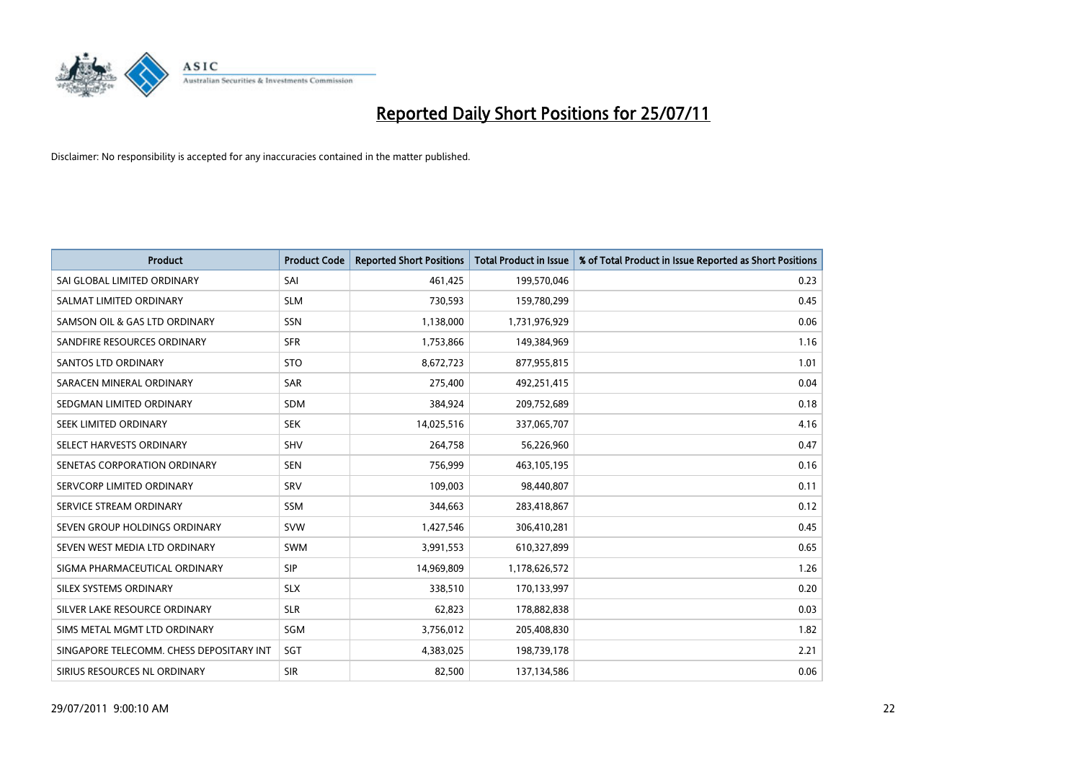

| <b>Product</b>                           | <b>Product Code</b> | <b>Reported Short Positions</b> | <b>Total Product in Issue</b> | % of Total Product in Issue Reported as Short Positions |
|------------------------------------------|---------------------|---------------------------------|-------------------------------|---------------------------------------------------------|
| SAI GLOBAL LIMITED ORDINARY              | SAI                 | 461,425                         | 199,570,046                   | 0.23                                                    |
| SALMAT LIMITED ORDINARY                  | <b>SLM</b>          | 730,593                         | 159,780,299                   | 0.45                                                    |
| SAMSON OIL & GAS LTD ORDINARY            | SSN                 | 1,138,000                       | 1,731,976,929                 | 0.06                                                    |
| SANDFIRE RESOURCES ORDINARY              | <b>SFR</b>          | 1,753,866                       | 149,384,969                   | 1.16                                                    |
| SANTOS LTD ORDINARY                      | <b>STO</b>          | 8,672,723                       | 877,955,815                   | 1.01                                                    |
| SARACEN MINERAL ORDINARY                 | <b>SAR</b>          | 275,400                         | 492,251,415                   | 0.04                                                    |
| SEDGMAN LIMITED ORDINARY                 | <b>SDM</b>          | 384,924                         | 209,752,689                   | 0.18                                                    |
| SEEK LIMITED ORDINARY                    | <b>SEK</b>          | 14,025,516                      | 337,065,707                   | 4.16                                                    |
| SELECT HARVESTS ORDINARY                 | <b>SHV</b>          | 264,758                         | 56,226,960                    | 0.47                                                    |
| SENETAS CORPORATION ORDINARY             | <b>SEN</b>          | 756,999                         | 463,105,195                   | 0.16                                                    |
| SERVCORP LIMITED ORDINARY                | SRV                 | 109,003                         | 98,440,807                    | 0.11                                                    |
| SERVICE STREAM ORDINARY                  | <b>SSM</b>          | 344,663                         | 283,418,867                   | 0.12                                                    |
| SEVEN GROUP HOLDINGS ORDINARY            | <b>SVW</b>          | 1,427,546                       | 306,410,281                   | 0.45                                                    |
| SEVEN WEST MEDIA LTD ORDINARY            | <b>SWM</b>          | 3,991,553                       | 610,327,899                   | 0.65                                                    |
| SIGMA PHARMACEUTICAL ORDINARY            | SIP                 | 14,969,809                      | 1,178,626,572                 | 1.26                                                    |
| SILEX SYSTEMS ORDINARY                   | <b>SLX</b>          | 338,510                         | 170,133,997                   | 0.20                                                    |
| SILVER LAKE RESOURCE ORDINARY            | <b>SLR</b>          | 62,823                          | 178,882,838                   | 0.03                                                    |
| SIMS METAL MGMT LTD ORDINARY             | SGM                 | 3,756,012                       | 205,408,830                   | 1.82                                                    |
| SINGAPORE TELECOMM. CHESS DEPOSITARY INT | SGT                 | 4,383,025                       | 198,739,178                   | 2.21                                                    |
| SIRIUS RESOURCES NL ORDINARY             | <b>SIR</b>          | 82,500                          | 137,134,586                   | 0.06                                                    |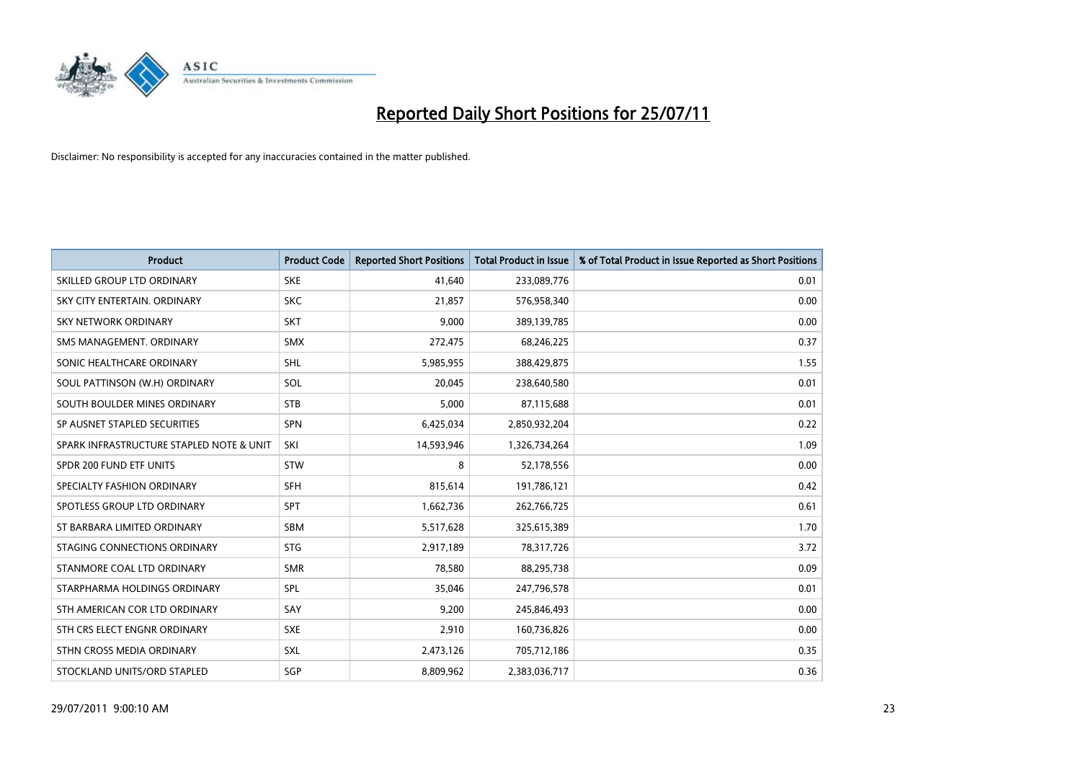

| <b>Product</b>                           | <b>Product Code</b> | <b>Reported Short Positions</b> | <b>Total Product in Issue</b> | % of Total Product in Issue Reported as Short Positions |
|------------------------------------------|---------------------|---------------------------------|-------------------------------|---------------------------------------------------------|
| SKILLED GROUP LTD ORDINARY               | <b>SKE</b>          | 41,640                          | 233,089,776                   | 0.01                                                    |
| SKY CITY ENTERTAIN, ORDINARY             | <b>SKC</b>          | 21,857                          | 576,958,340                   | 0.00                                                    |
| <b>SKY NETWORK ORDINARY</b>              | <b>SKT</b>          | 9,000                           | 389,139,785                   | 0.00                                                    |
| SMS MANAGEMENT, ORDINARY                 | <b>SMX</b>          | 272,475                         | 68,246,225                    | 0.37                                                    |
| SONIC HEALTHCARE ORDINARY                | <b>SHL</b>          | 5,985,955                       | 388,429,875                   | 1.55                                                    |
| SOUL PATTINSON (W.H) ORDINARY            | SOL                 | 20,045                          | 238,640,580                   | 0.01                                                    |
| SOUTH BOULDER MINES ORDINARY             | <b>STB</b>          | 5.000                           | 87,115,688                    | 0.01                                                    |
| SP AUSNET STAPLED SECURITIES             | <b>SPN</b>          | 6,425,034                       | 2,850,932,204                 | 0.22                                                    |
| SPARK INFRASTRUCTURE STAPLED NOTE & UNIT | SKI                 | 14,593,946                      | 1,326,734,264                 | 1.09                                                    |
| SPDR 200 FUND ETF UNITS                  | <b>STW</b>          | 8                               | 52,178,556                    | 0.00                                                    |
| SPECIALTY FASHION ORDINARY               | <b>SFH</b>          | 815,614                         | 191,786,121                   | 0.42                                                    |
| SPOTLESS GROUP LTD ORDINARY              | <b>SPT</b>          | 1,662,736                       | 262,766,725                   | 0.61                                                    |
| ST BARBARA LIMITED ORDINARY              | <b>SBM</b>          | 5,517,628                       | 325,615,389                   | 1.70                                                    |
| STAGING CONNECTIONS ORDINARY             | <b>STG</b>          | 2,917,189                       | 78,317,726                    | 3.72                                                    |
| STANMORE COAL LTD ORDINARY               | <b>SMR</b>          | 78,580                          | 88,295,738                    | 0.09                                                    |
| STARPHARMA HOLDINGS ORDINARY             | SPL                 | 35.046                          | 247,796,578                   | 0.01                                                    |
| STH AMERICAN COR LTD ORDINARY            | SAY                 | 9,200                           | 245,846,493                   | 0.00                                                    |
| STH CRS ELECT ENGNR ORDINARY             | <b>SXE</b>          | 2,910                           | 160,736,826                   | 0.00                                                    |
| STHN CROSS MEDIA ORDINARY                | <b>SXL</b>          | 2,473,126                       | 705,712,186                   | 0.35                                                    |
| STOCKLAND UNITS/ORD STAPLED              | SGP                 | 8,809,962                       | 2,383,036,717                 | 0.36                                                    |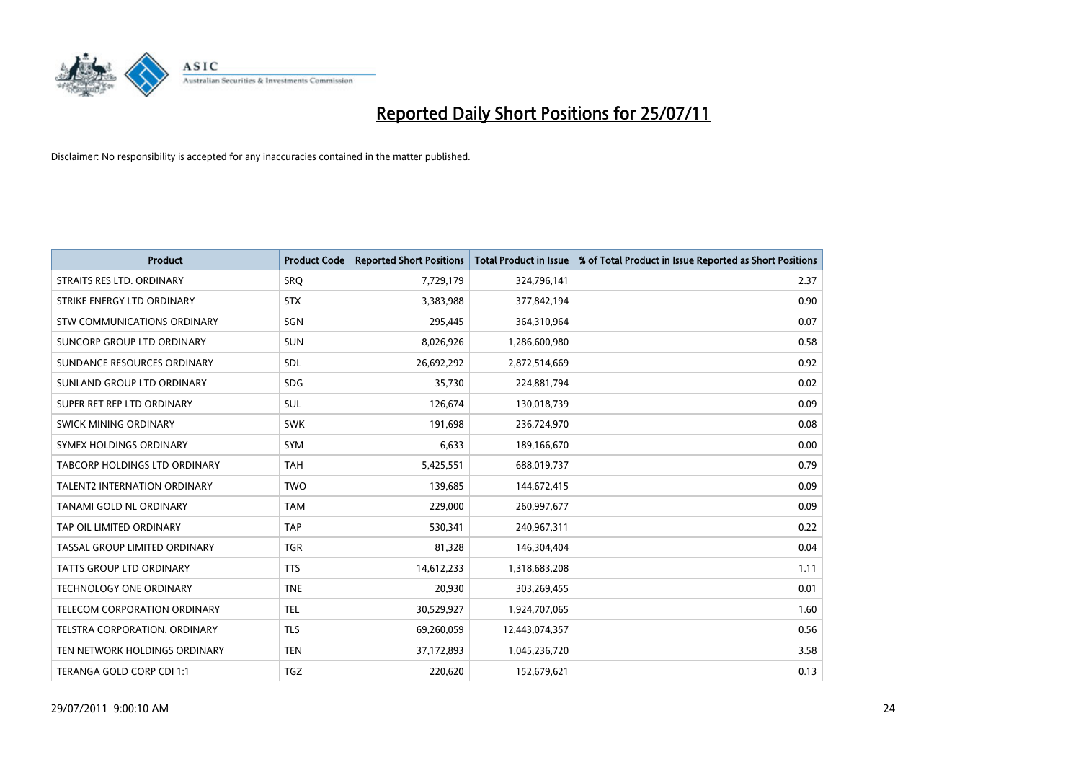

| <b>Product</b>                      | <b>Product Code</b> | <b>Reported Short Positions</b> | <b>Total Product in Issue</b> | % of Total Product in Issue Reported as Short Positions |
|-------------------------------------|---------------------|---------------------------------|-------------------------------|---------------------------------------------------------|
| STRAITS RES LTD. ORDINARY           | <b>SRQ</b>          | 7,729,179                       | 324,796,141                   | 2.37                                                    |
| STRIKE ENERGY LTD ORDINARY          | <b>STX</b>          | 3,383,988                       | 377,842,194                   | 0.90                                                    |
| <b>STW COMMUNICATIONS ORDINARY</b>  | SGN                 | 295,445                         | 364,310,964                   | 0.07                                                    |
| SUNCORP GROUP LTD ORDINARY          | <b>SUN</b>          | 8,026,926                       | 1,286,600,980                 | 0.58                                                    |
| SUNDANCE RESOURCES ORDINARY         | SDL                 | 26,692,292                      | 2,872,514,669                 | 0.92                                                    |
| SUNLAND GROUP LTD ORDINARY          | <b>SDG</b>          | 35,730                          | 224,881,794                   | 0.02                                                    |
| SUPER RET REP LTD ORDINARY          | <b>SUL</b>          | 126,674                         | 130,018,739                   | 0.09                                                    |
| <b>SWICK MINING ORDINARY</b>        | <b>SWK</b>          | 191,698                         | 236,724,970                   | 0.08                                                    |
| SYMEX HOLDINGS ORDINARY             | <b>SYM</b>          | 6,633                           | 189,166,670                   | 0.00                                                    |
| TABCORP HOLDINGS LTD ORDINARY       | <b>TAH</b>          | 5,425,551                       | 688,019,737                   | 0.79                                                    |
| <b>TALENT2 INTERNATION ORDINARY</b> | <b>TWO</b>          | 139,685                         | 144,672,415                   | 0.09                                                    |
| TANAMI GOLD NL ORDINARY             | <b>TAM</b>          | 229,000                         | 260,997,677                   | 0.09                                                    |
| TAP OIL LIMITED ORDINARY            | <b>TAP</b>          | 530,341                         | 240,967,311                   | 0.22                                                    |
| TASSAL GROUP LIMITED ORDINARY       | <b>TGR</b>          | 81,328                          | 146,304,404                   | 0.04                                                    |
| TATTS GROUP LTD ORDINARY            | <b>TTS</b>          | 14,612,233                      | 1,318,683,208                 | 1.11                                                    |
| <b>TECHNOLOGY ONE ORDINARY</b>      | <b>TNE</b>          | 20,930                          | 303,269,455                   | 0.01                                                    |
| TELECOM CORPORATION ORDINARY        | <b>TEL</b>          | 30,529,927                      | 1,924,707,065                 | 1.60                                                    |
| TELSTRA CORPORATION. ORDINARY       | <b>TLS</b>          | 69,260,059                      | 12,443,074,357                | 0.56                                                    |
| TEN NETWORK HOLDINGS ORDINARY       | <b>TEN</b>          | 37,172,893                      | 1,045,236,720                 | 3.58                                                    |
| TERANGA GOLD CORP CDI 1:1           | <b>TGZ</b>          | 220.620                         | 152,679,621                   | 0.13                                                    |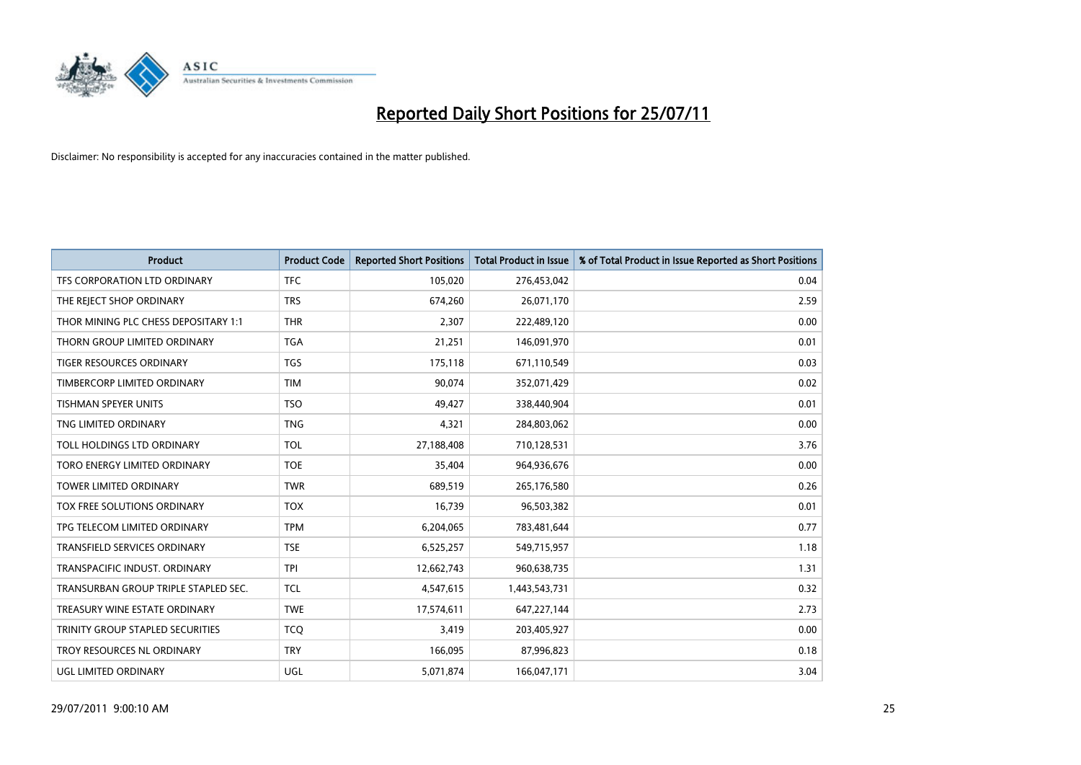

| <b>Product</b>                       | <b>Product Code</b> | <b>Reported Short Positions</b> | Total Product in Issue | % of Total Product in Issue Reported as Short Positions |
|--------------------------------------|---------------------|---------------------------------|------------------------|---------------------------------------------------------|
| TFS CORPORATION LTD ORDINARY         | <b>TFC</b>          | 105,020                         | 276,453,042            | 0.04                                                    |
| THE REJECT SHOP ORDINARY             | <b>TRS</b>          | 674,260                         | 26,071,170             | 2.59                                                    |
| THOR MINING PLC CHESS DEPOSITARY 1:1 | <b>THR</b>          | 2,307                           | 222,489,120            | 0.00                                                    |
| THORN GROUP LIMITED ORDINARY         | <b>TGA</b>          | 21,251                          | 146,091,970            | 0.01                                                    |
| <b>TIGER RESOURCES ORDINARY</b>      | <b>TGS</b>          | 175,118                         | 671,110,549            | 0.03                                                    |
| TIMBERCORP LIMITED ORDINARY          | <b>TIM</b>          | 90.074                          | 352,071,429            | 0.02                                                    |
| <b>TISHMAN SPEYER UNITS</b>          | <b>TSO</b>          | 49,427                          | 338,440,904            | 0.01                                                    |
| TNG LIMITED ORDINARY                 | <b>TNG</b>          | 4,321                           | 284,803,062            | 0.00                                                    |
| TOLL HOLDINGS LTD ORDINARY           | <b>TOL</b>          | 27,188,408                      | 710,128,531            | 3.76                                                    |
| TORO ENERGY LIMITED ORDINARY         | <b>TOE</b>          | 35,404                          | 964,936,676            | 0.00                                                    |
| TOWER LIMITED ORDINARY               | <b>TWR</b>          | 689,519                         | 265,176,580            | 0.26                                                    |
| <b>TOX FREE SOLUTIONS ORDINARY</b>   | <b>TOX</b>          | 16,739                          | 96,503,382             | 0.01                                                    |
| TPG TELECOM LIMITED ORDINARY         | <b>TPM</b>          | 6,204,065                       | 783,481,644            | 0.77                                                    |
| TRANSFIELD SERVICES ORDINARY         | <b>TSE</b>          | 6,525,257                       | 549,715,957            | 1.18                                                    |
| TRANSPACIFIC INDUST, ORDINARY        | <b>TPI</b>          | 12,662,743                      | 960,638,735            | 1.31                                                    |
| TRANSURBAN GROUP TRIPLE STAPLED SEC. | <b>TCL</b>          | 4,547,615                       | 1,443,543,731          | 0.32                                                    |
| TREASURY WINE ESTATE ORDINARY        | <b>TWE</b>          | 17,574,611                      | 647,227,144            | 2.73                                                    |
| TRINITY GROUP STAPLED SECURITIES     | <b>TCQ</b>          | 3,419                           | 203,405,927            | 0.00                                                    |
| TROY RESOURCES NL ORDINARY           | <b>TRY</b>          | 166,095                         | 87,996,823             | 0.18                                                    |
| UGL LIMITED ORDINARY                 | UGL                 | 5,071,874                       | 166,047,171            | 3.04                                                    |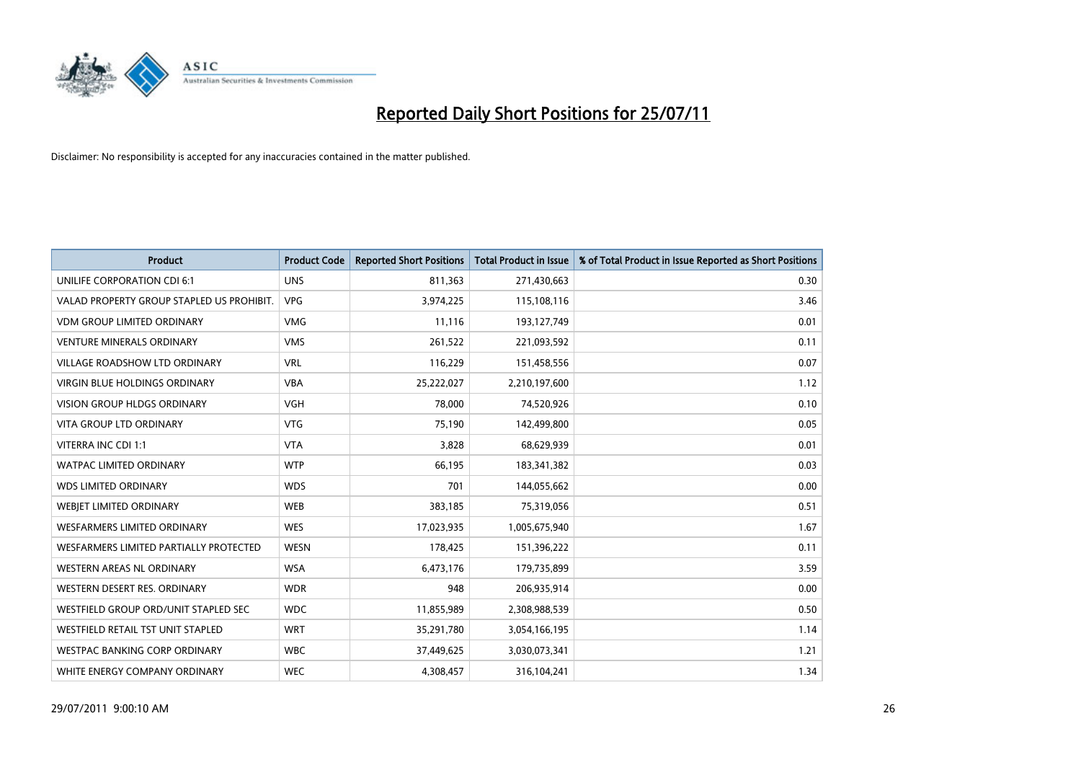

| <b>Product</b>                            | <b>Product Code</b> | <b>Reported Short Positions</b> | <b>Total Product in Issue</b> | % of Total Product in Issue Reported as Short Positions |
|-------------------------------------------|---------------------|---------------------------------|-------------------------------|---------------------------------------------------------|
| UNILIFE CORPORATION CDI 6:1               | <b>UNS</b>          | 811,363                         | 271,430,663                   | 0.30                                                    |
| VALAD PROPERTY GROUP STAPLED US PROHIBIT. | <b>VPG</b>          | 3,974,225                       | 115,108,116                   | 3.46                                                    |
| <b>VDM GROUP LIMITED ORDINARY</b>         | <b>VMG</b>          | 11,116                          | 193,127,749                   | 0.01                                                    |
| <b>VENTURE MINERALS ORDINARY</b>          | <b>VMS</b>          | 261,522                         | 221,093,592                   | 0.11                                                    |
| <b>VILLAGE ROADSHOW LTD ORDINARY</b>      | <b>VRL</b>          | 116,229                         | 151,458,556                   | 0.07                                                    |
| <b>VIRGIN BLUE HOLDINGS ORDINARY</b>      | <b>VBA</b>          | 25,222,027                      | 2,210,197,600                 | 1.12                                                    |
| <b>VISION GROUP HLDGS ORDINARY</b>        | <b>VGH</b>          | 78,000                          | 74,520,926                    | 0.10                                                    |
| VITA GROUP LTD ORDINARY                   | <b>VTG</b>          | 75,190                          | 142,499,800                   | 0.05                                                    |
| VITERRA INC CDI 1:1                       | <b>VTA</b>          | 3,828                           | 68,629,939                    | 0.01                                                    |
| <b>WATPAC LIMITED ORDINARY</b>            | <b>WTP</b>          | 66,195                          | 183,341,382                   | 0.03                                                    |
| <b>WDS LIMITED ORDINARY</b>               | <b>WDS</b>          | 701                             | 144,055,662                   | 0.00                                                    |
| WEBIET LIMITED ORDINARY                   | <b>WEB</b>          | 383,185                         | 75,319,056                    | 0.51                                                    |
| <b>WESFARMERS LIMITED ORDINARY</b>        | <b>WES</b>          | 17,023,935                      | 1,005,675,940                 | 1.67                                                    |
| WESFARMERS LIMITED PARTIALLY PROTECTED    | <b>WESN</b>         | 178,425                         | 151,396,222                   | 0.11                                                    |
| WESTERN AREAS NL ORDINARY                 | <b>WSA</b>          | 6,473,176                       | 179,735,899                   | 3.59                                                    |
| WESTERN DESERT RES. ORDINARY              | <b>WDR</b>          | 948                             | 206,935,914                   | 0.00                                                    |
| WESTFIELD GROUP ORD/UNIT STAPLED SEC      | <b>WDC</b>          | 11,855,989                      | 2,308,988,539                 | 0.50                                                    |
| WESTFIELD RETAIL TST UNIT STAPLED         | <b>WRT</b>          | 35,291,780                      | 3,054,166,195                 | 1.14                                                    |
| <b>WESTPAC BANKING CORP ORDINARY</b>      | <b>WBC</b>          | 37,449,625                      | 3,030,073,341                 | 1.21                                                    |
| WHITE ENERGY COMPANY ORDINARY             | <b>WEC</b>          | 4,308,457                       | 316,104,241                   | 1.34                                                    |